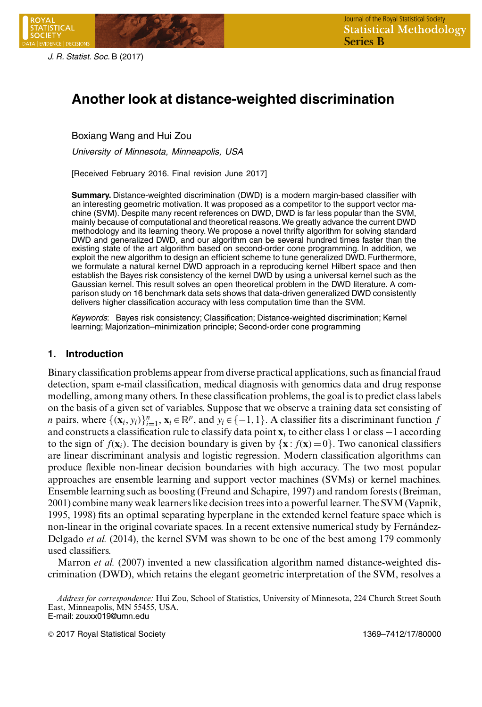

# **Another look at distance-weighted discrimination**

## Boxiang Wang and Hui Zou

*University of Minnesota, Minneapolis, USA*

[Received February 2016. Final revision June 2017]

**Summary.** Distance-weighted discrimination (DWD) is a modern margin-based classifier with an interesting geometric motivation. It was proposed as a competitor to the support vector machine (SVM). Despite many recent references on DWD, DWD is far less popular than the SVM, mainly because of computational and theoretical reasons.We greatly advance the current DWD methodology and its learning theory. We propose a novel thrifty algorithm for solving standard DWD and generalized DWD, and our algorithm can be several hundred times faster than the existing state of the art algorithm based on second-order cone programming. In addition, we exploit the new algorithm to design an efficient scheme to tune generalized DWD. Furthermore, we formulate a natural kernel DWD approach in a reproducing kernel Hilbert space and then establish the Bayes risk consistency of the kernel DWD by using a universal kernel such as the Gaussian kernel. This result solves an open theoretical problem in the DWD literature. A comparison study on 16 benchmark data sets shows that data-driven generalized DWD consistently delivers higher classification accuracy with less computation time than the SVM.

*Keywords*: Bayes risk consistency; Classification; Distance-weighted discrimination; Kernel learning; Majorization–minimization principle; Second-order cone programming

## **1. Introduction**

Binary classification problems appear from diverse practical applications, such as financial fraud detection, spam e-mail classification, medical diagnosis with genomics data and drug response modelling, among many others. In these classification problems, the goal is to predict class labels on the basis of a given set of variables. Suppose that we observe a training data set consisting of n pairs, where  $\{(\mathbf{x}_i, y_i)\}_{i=1}^n$ ,  $\mathbf{x}_i \in \mathbb{R}^p$ , and  $y_i \in \{-1, 1\}$ . A classifier fits a discriminant function f and constructs a classification rule to classify data point  $\mathbf{x}_i$  to either class 1 or class  $-1$  according to the sign of  $f(\mathbf{x}_i)$ . The decision boundary is given by  $\{ \mathbf{x} : f(\mathbf{x}) = 0 \}$ . Two canonical classifiers are linear discriminant analysis and logistic regression. Modern classification algorithms can produce flexible non-linear decision boundaries with high accuracy. The two most popular approaches are ensemble learning and support vector machines (SVMs) or kernel machines. Ensemble learning such as boosting (Freund and Schapire, 1997) and random forests (Breiman, 2001) combine many weak learners like decision trees into a powerful learner. The SVM (Vapnik, 1995, 1998) fits an optimal separating hyperplane in the extended kernel feature space which is non-linear in the original covariate spaces. In a recent extensive numerical study by Fernandez-Delgado *et al.* (2014), the kernel SVM was shown to be one of the best among 179 commonly used classifiers.

Marron *et al.* (2007) invented a new classification algorithm named distance-weighted discrimination (DWD), which retains the elegant geometric interpretation of the SVM, resolves a

*Address for correspondence:* Hui Zou, School of Statistics, University of Minnesota, 224 Church Street South East, Minneapolis, MN 55455, USA. E-mail: zouxx019@umn.edu

© 2017 Royal Statistical Society 1369–7412/17/80000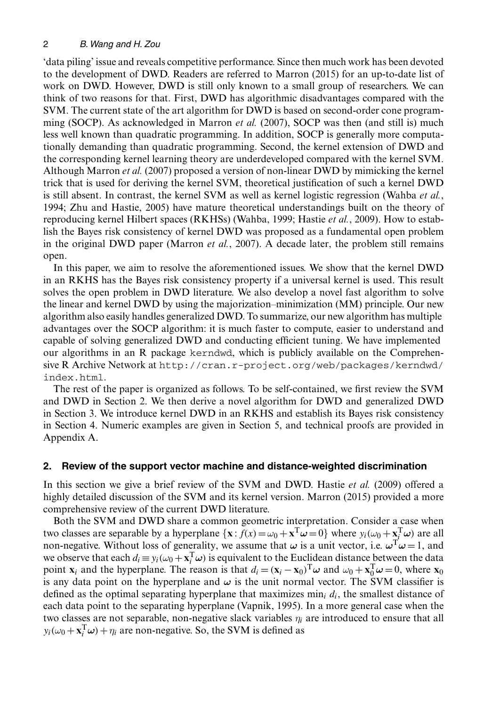'data piling' issue and reveals competitive performance. Since then much work has been devoted to the development of DWD. Readers are referred to Marron (2015) for an up-to-date list of work on DWD. However, DWD is still only known to a small group of researchers. We can think of two reasons for that. First, DWD has algorithmic disadvantages compared with the SVM. The current state of the art algorithm for DWD is based on second-order cone programming (SOCP). As acknowledged in Marron *et al.* (2007), SOCP was then (and still is) much less well known than quadratic programming. In addition, SOCP is generally more computationally demanding than quadratic programming. Second, the kernel extension of DWD and the corresponding kernel learning theory are underdeveloped compared with the kernel SVM. Although Marron *et al.* (2007) proposed a version of non-linear DWD by mimicking the kernel trick that is used for deriving the kernel SVM, theoretical justification of such a kernel DWD is still absent. In contrast, the kernel SVM as well as kernel logistic regression (Wahba *et al.*, 1994; Zhu and Hastie, 2005) have mature theoretical understandings built on the theory of reproducing kernel Hilbert spaces (RKHSs) (Wahba, 1999; Hastie *et al.*, 2009). How to establish the Bayes risk consistency of kernel DWD was proposed as a fundamental open problem in the original DWD paper (Marron *et al.*, 2007). A decade later, the problem still remains open.

In this paper, we aim to resolve the aforementioned issues. We show that the kernel DWD in an RKHS has the Bayes risk consistency property if a universal kernel is used. This result solves the open problem in DWD literature. We also develop a novel fast algorithm to solve the linear and kernel DWD by using the majorization–minimization (MM) principle. Our new algorithm also easily handles generalized DWD. To summarize, our new algorithm has multiple advantages over the SOCP algorithm: it is much faster to compute, easier to understand and capable of solving generalized DWD and conducting efficient tuning. We have implemented our algorithms in an R package kerndwd, which is publicly available on the Comprehensive R Archive Network at http://cran.r-project.org/web/packages/kerndwd/ index.html.

The rest of the paper is organized as follows. To be self-contained, we first review the SVM and DWD in Section 2. We then derive a novel algorithm for DWD and generalized DWD in Section 3. We introduce kernel DWD in an RKHS and establish its Bayes risk consistency in Section 4. Numeric examples are given in Section 5, and technical proofs are provided in Appendix A.

## **2. Review of the support vector machine and distance-weighted discrimination**

In this section we give a brief review of the SVM and DWD. Hastie *et al.* (2009) offered a highly detailed discussion of the SVM and its kernel version. Marron (2015) provided a more comprehensive review of the current DWD literature.

Both the SVM and DWD share a common geometric interpretation. Consider a case when two classes are separable by a hyperplane  $\{x : f(x) = \omega_0 + x^T \omega = 0\}$  where  $y_i(\omega_0 + x^T \omega)$  are all<br>non-negative. Without loss of generality, we assume that  $\omega$  is a unit vector, i.e.  $\omega_0^T \omega = 1$  and non-negative. Without loss of generality, we assume that  $\omega$  is a unit vector, i.e.  $\omega^T \omega = 1$ , and we observe that each  $d_i = y_i(\omega_0 + \mathbf{x}_i^T \boldsymbol{\omega})$  is equivalent to the Euclidean distance between the data<br>point **x**<sub>i</sub> and the hyperplane. The reason is that  $d_i = (\mathbf{x}_i - \mathbf{x}_0)^T (i)$  and  $\omega_0 + \mathbf{x}_i^T (i) = 0$ , where **x**<sub>0</sub> point **x**<sub>i</sub> and the hyperplane. The reason is that  $d_i = (\mathbf{x}_i - \mathbf{x}_0)^T \boldsymbol{\omega}$  and  $\omega_0 + \mathbf{x}_0^T \boldsymbol{\omega} = 0$ , where  $\mathbf{x}_0$  is any data point on the hyperplane and  $\omega$  is the unit pormal vector. The SVM classifier is is any data point on the hyperplane and  $\omega$  is the unit normal vector. The SVM classifier is defined as the optimal separating hyperplane that maximizes min<sub>i</sub>  $d_i$ , the smallest distance of each data point to the separating hyperplane (Vapnik, 1995). In a more general case when the two classes are not separable, non-negative slack variables  $\eta_i$  are introduced to ensure that all  $y_i(\omega_0 + \mathbf{x}_i^T \boldsymbol{\omega}) + \eta_i$  are non-negative. So, the SVM is defined as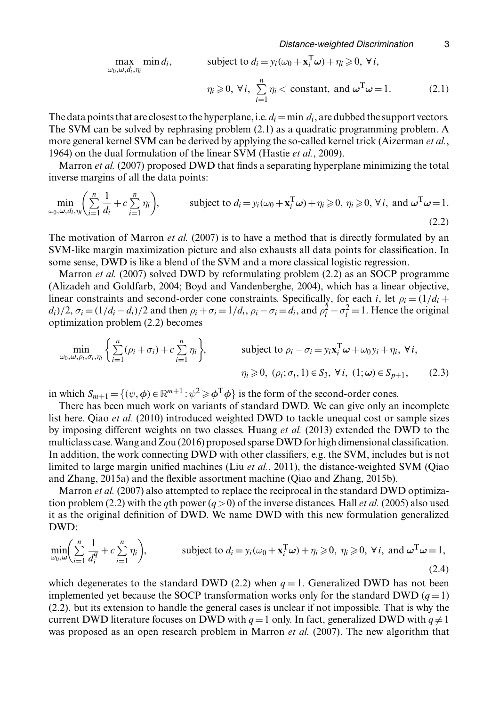*Distance-weighted Discrimination* 3

 $max \text{ min } d_i,$  $\omega_0, \omega, d_i, \eta_i$ min d<sub>i</sub>, subject to  $d_i = y_i(\omega_0 + \mathbf{x}_i^T \boldsymbol{\omega}) + \eta_i \geq 0, \forall i$ ,

$$
\eta_i \geq 0, \forall i, \sum_{i=1}^n \eta_i < \text{constant, and } \omega^T \omega = 1.
$$
 (2.1)

The data points that are closest to the hyperplane, i.e.  $d_i = \min d_i$ , are dubbed the support vectors. The SVM can be solved by rephrasing problem (2.1) as a quadratic programming problem. A more general kernel SVM can be derived by applying the so-called kernel trick (Aizerman *et al.*, 1964) on the dual formulation of the linear SVM (Hastie *et al.*, 2009).

Marron *et al.* (2007) proposed DWD that finds a separating hyperplane minimizing the total inverse margins of all the data points:

$$
\min_{\omega_0, \omega, d_i, \eta_i} \left( \sum_{i=1}^n \frac{1}{d_i} + c \sum_{i=1}^n \eta_i \right), \qquad \text{subject to } d_i = y_i(\omega_0 + \mathbf{x}_i^T \boldsymbol{\omega}) + \eta_i \ge 0, \ \eta_i \ge 0, \ \forall i, \text{ and } \boldsymbol{\omega}^T \boldsymbol{\omega} = 1. \tag{2.2}
$$

The motivation of Marron *et al.* (2007) is to have a method that is directly formulated by an SVM-like margin maximization picture and also exhausts all data points for classification. In some sense, DWD is like a blend of the SVM and a more classical logistic regression.

Marron *et al.* (2007) solved DWD by reformulating problem (2.2) as an SOCP programme (Alizadeh and Goldfarb, 2004; Boyd and Vandenberghe, 2004), which has a linear objective, linear constraints and second-order cone constraints. Specifically, for each i, let  $\rho_i = (1/d_i +$  $d_i$ )/2,  $\sigma_i = (1/d_i - d_i)/2$  and then  $\rho_i + \sigma_i = 1/d_i$ ,  $\rho_i - \sigma_i = d_i$ , and  $\rho_i^2 - \sigma_i^2 = 1$ . Hence the original optimization problem (2.2) becomes optimization problem (2.2) becomes

$$
\min_{\omega_0,\omega,\rho_i,\sigma_i,\eta_i} \left\{ \sum_{i=1}^n (\rho_i + \sigma_i) + c \sum_{i=1}^n \eta_i \right\}, \qquad \text{subject to } \rho_i - \sigma_i = y_i \mathbf{x}_i^T \boldsymbol{\omega} + \omega_0 y_i + \eta_i, \ \forall i, \eta_i \ge 0, \ (\rho_i; \sigma_i, 1) \in S_3, \ \forall i, \ (1; \boldsymbol{\omega}) \in S_{p+1}, \tag{2.3}
$$

in which  $S_{m+1} = \{ (\psi, \phi) \in \mathbb{R}^{m+1} : \psi^2 \geq \phi^T \phi \}$  is the form of the second-order cones.<br>There has been much work on variants of standard DWD. We can give only an

There has been much work on variants of standard DWD. We can give only an incomplete list here. Qiao *et al.* (2010) introduced weighted DWD to tackle unequal cost or sample sizes by imposing different weights on two classes. Huang *et al.* (2013) extended the DWD to the multiclass case.Wang and Zou (2016) proposed sparse DWD for high dimensional classification. In addition, the work connecting DWD with other classifiers, e.g. the SVM, includes but is not limited to large margin unified machines (Liu *et al.*, 2011), the distance-weighted SVM (Qiao and Zhang, 2015a) and the flexible assortment machine (Qiao and Zhang, 2015b).

Marron *et al.* (2007) also attempted to replace the reciprocal in the standard DWD optimization problem (2.2) with the qth power  $(q>0)$  of the inverse distances. Hall *et al.* (2005) also used it as the original definition of DWD. We name DWD with this new formulation generalized DWD:

$$
\min_{\omega_0,\omega} \left( \sum_{i=1}^n \frac{1}{d_i^q} + c \sum_{i=1}^n \eta_i \right), \qquad \text{subject to } d_i = y_i(\omega_0 + \mathbf{x}_i^T \omega) + \eta_i \ge 0, \ \eta_i \ge 0, \ \forall i, \text{ and } \omega^T \omega = 1,
$$
\n(2.4)

which degenerates to the standard DWD (2.2) when  $q = 1$ . Generalized DWD has not been implemented yet because the SOCP transformation works only for the standard DWD  $(q=1)$ (2.2), but its extension to handle the general cases is unclear if not impossible. That is why the current DWD literature focuses on DWD with  $q=1$  only. In fact, generalized DWD with  $q\neq 1$ was proposed as an open research problem in Marron *et al.* (2007). The new algorithm that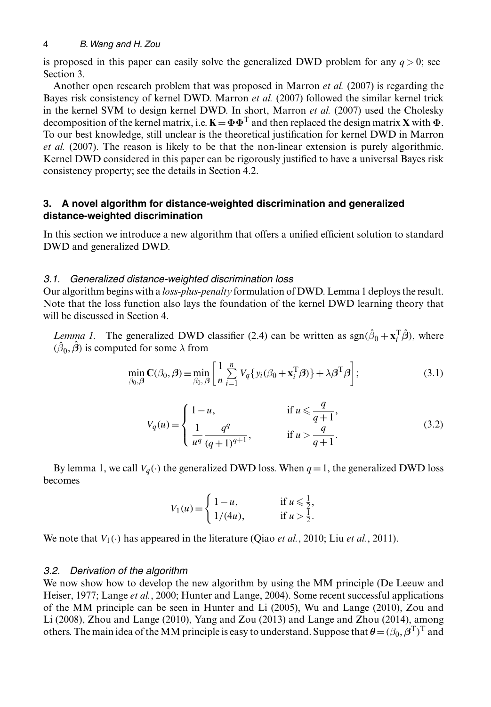is proposed in this paper can easily solve the generalized DWD problem for any  $q > 0$ ; see Section 3.

Another open research problem that was proposed in Marron *et al.* (2007) is regarding the Bayes risk consistency of kernel DWD. Marron *et al.* (2007) followed the similar kernel trick in the kernel SVM to design kernel DWD. In short, Marron *et al.* (2007) used the Cholesky decomposition of the kernel matrix, i.e.  $\mathbf{K} = \mathbf{\Phi} \mathbf{\Phi}^T$  and then replaced the design matrix **X** with  $\mathbf{\Phi}$ . To our best knowledge, still unclear is the theoretical justification for kernel DWD in Marron *et al.* (2007). The reason is likely to be that the non-linear extension is purely algorithmic. Kernel DWD considered in this paper can be rigorously justified to have a universal Bayes risk consistency property; see the details in Section 4.2.

# **3. A novel algorithm for distance-weighted discrimination and generalized distance-weighted discrimination**

In this section we introduce a new algorithm that offers a unified efficient solution to standard DWD and generalized DWD.

# *3.1. Generalized distance-weighted discrimination loss*

Our algorithm begins with a *loss-plus-penalty* formulation of DWD. Lemma 1 deploys the result. Note that the loss function also lays the foundation of the kernel DWD learning theory that will be discussed in Section 4.

*Lemma 1.* The generalized DWD classifier (2.4) can be written as  $sgn(\hat{\beta}_0 + x_i^T \hat{\beta})$ , where  $(\hat{\beta}_0, \hat{\beta})$  is computed for some  $\lambda$  from  $(\hat{\beta}_0, \hat{\beta})$  is computed for some  $\lambda$  from

$$
\min_{\beta_0, \beta} \mathbf{C}(\beta_0, \beta) = \min_{\beta_0, \beta} \left[ \frac{1}{n} \sum_{i=1}^n V_q \{ y_i (\beta_0 + \mathbf{x}_i^{\mathrm{T}} \beta) \} + \lambda \beta^{\mathrm{T}} \beta \right];\tag{3.1}
$$

$$
V_q(u) = \begin{cases} 1 - u, & \text{if } u \leq \frac{q}{q+1}, \\ \frac{1}{u^q} \frac{q^q}{(q+1)^{q+1}}, & \text{if } u > \frac{q}{q+1}. \end{cases}
$$
(3.2)

By lemma 1, we call  $V_q(\cdot)$  the generalized DWD loss. When  $q=1$ , the generalized DWD loss becomes

$$
V_1(u) = \begin{cases} 1 - u, & \text{if } u \leq \frac{1}{2}, \\ 1/(4u), & \text{if } u > \frac{1}{2}. \end{cases}
$$

We note that  $V_1(\cdot)$  has appeared in the literature (Qiao *et al.*, 2010; Liu *et al.*, 2011).

# *3.2. Derivation of the algorithm*

We now show how to develop the new algorithm by using the MM principle (De Leeuw and Heiser, 1977; Lange *et al.*, 2000; Hunter and Lange, 2004). Some recent successful applications of the MM principle can be seen in Hunter and Li (2005), Wu and Lange (2010), Zou and Li (2008), Zhou and Lange (2010), Yang and Zou (2013) and Lange and Zhou (2014), among others. The main idea of the MM principle is easy to understand. Suppose that  $\theta = (\beta_0, \beta^T)^T$  and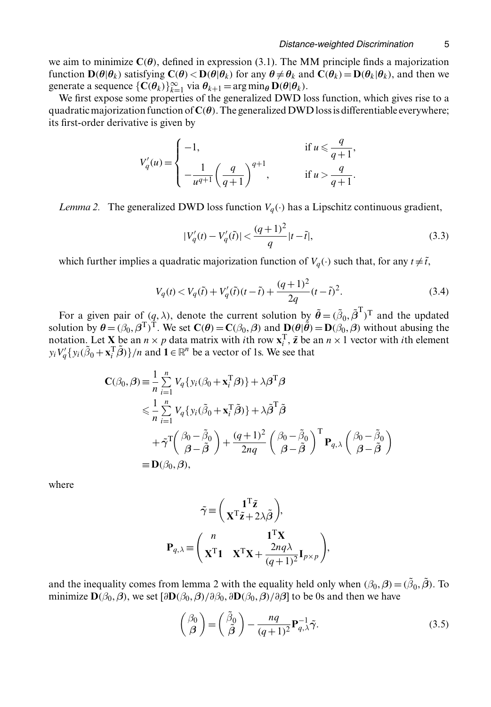we aim to minimize  $\mathbf{C}(\theta)$ , defined in expression (3.1). The MM principle finds a majorization function  $\mathbf{D}(\theta|\theta_k)$  satisfying  $\mathbf{C}(\theta) < \mathbf{D}(\theta|\theta_k)$  for any  $\theta \neq \theta_k$  and  $\mathbf{C}(\theta_k) = \mathbf{D}(\theta_k|\theta_k)$ , and then we generate a sequence  $\{C(\theta_k)\}_{k=1}^{\infty}$  via  $\theta_{k+1} = \arg \min_{\theta} D(\theta | \theta_k)$ .<br>We first surges some magnitude of the sequenting DWD 1.

We first expose some properties of the generalized DWD loss function, which gives rise to a quadratic majorization function of  $\mathbf{C}(\theta)$ . The generalized DWD loss is differentiable everywhere; its first-order derivative is given by

$$
V_q'(u)=\left\{ \begin{aligned} &-1, &&&\text{if}\ u\leqslant\frac{q}{q+1},\\ &-\frac{1}{u^{q+1}}\left(\frac{q}{q+1}\right)^{q+1}, &&&\text{if}\ u>\frac{q}{q+1}. \end{aligned} \right.
$$

*Lemma 2.* The generalized DWD loss function  $V_q(\cdot)$  has a Lipschitz continuous gradient,

$$
|V'_q(t) - V'_q(\tilde{t})| < \frac{(q+1)^2}{q} |t - \tilde{t}|,\tag{3.3}
$$

which further implies a quadratic majorization function of  $V_q(\cdot)$  such that, for any  $t \neq \tilde{t}$ ,

$$
V_q(t) < V_q(\tilde{t}) + V'_q(\tilde{t})(t - \tilde{t}) + \frac{(q+1)^2}{2q}(t - \tilde{t})^2. \tag{3.4}
$$

For a given pair of  $(q, \lambda)$ , denote the current solution by  $\tilde{\theta} = (\tilde{\beta}_0, \tilde{\beta}^T)^T$  and the updated lution by  $\theta = (\beta_0, \beta_0^T)^T$ . We set  $C(\theta) = C(\beta_0, \beta)$  and  $D(\theta | \tilde{\theta}) = D(\beta_0, \beta)$  without abusing the solution by  $\theta = (\beta_0, \beta^T)^T$ . We set  $\mathbf{C}(\theta) = \mathbf{C}(\beta_0, \beta)$  and  $\mathbf{D}(\theta | \tilde{\theta}) = \mathbf{D}(\beta_0, \beta)$  without abusing the notation. Let **X** be an  $n \times p$  data matrix with *i*th row  $\mathbf{x}_i^T$ ,  $\tilde{\mathbf{z}}$  be an  $n \times 1$  vector with *i*th element  $y_i V'_q \{ y_i (\tilde{\beta}_0 + \mathbf{x}_i^T \tilde{\beta}) \} / n$  and  $\mathbf{1} \in \mathbb{R}^n$  be a vector of 1s. We see that

$$
\mathbf{C}(\beta_0, \beta) = \frac{1}{n} \sum_{i=1}^n V_q \{ y_i (\beta_0 + \mathbf{x}_i^{\mathrm{T}} \beta) \} + \lambda \beta^{\mathrm{T}} \beta
$$
  
\n
$$
\leq \frac{1}{n} \sum_{i=1}^n V_q \{ y_i (\tilde{\beta}_0 + \mathbf{x}_i^{\mathrm{T}} \tilde{\beta}) \} + \lambda \tilde{\beta}^{\mathrm{T}} \tilde{\beta}
$$
  
\n
$$
+ \tilde{\gamma}^{\mathrm{T}} \left( \frac{\beta_0 - \tilde{\beta}_0}{\beta - \tilde{\beta}} \right) + \frac{(q+1)^2}{2nq} \left( \frac{\beta_0 - \tilde{\beta}_0}{\beta - \tilde{\beta}} \right)^{\mathrm{T}} \mathbf{P}_{q,\lambda} \left( \frac{\beta_0 - \tilde{\beta}_0}{\beta - \tilde{\beta}} \right)
$$
  
\n
$$
\equiv \mathbf{D}(\beta_0, \beta),
$$

where

$$
\tilde{\gamma} \equiv \begin{pmatrix} \mathbf{1}^{\mathrm{T}} \tilde{\mathbf{z}} \\ \mathbf{X}^{\mathrm{T}} \tilde{\mathbf{z}} + 2\lambda \tilde{\boldsymbol{\beta}} \end{pmatrix},
$$

$$
\mathbf{P}_{q,\lambda} \equiv \begin{pmatrix} n & \mathbf{1}^{\mathrm{T}} \mathbf{X} \\ \mathbf{X}^{\mathrm{T}} \mathbf{1} & \mathbf{X}^{\mathrm{T}} \mathbf{X} + \frac{2nq\lambda}{(q+1)^2} \mathbf{I}_{p \times p} \end{pmatrix},
$$

and the inequality comes from lemma 2 with the equality held only when  $(\beta_0, \beta) = (\tilde{\beta}_0, \tilde{\beta})$ . To minimize  $\mathbf{D}(\beta_0, \beta)$ , we set  $\{\partial \mathbf{D}(\beta_0, \beta)\}$  and  $\{\beta_0\}$ ,  $\beta_1$  and then we have minimize  $\mathbf{D}(\beta_0, \beta)$ , we set  $\left[\partial \mathbf{D}(\beta_0, \beta)/\partial \beta_0, \partial \mathbf{D}(\beta_0, \beta)/\partial \beta\right]$  to be 0s and then we have

$$
\begin{pmatrix} \beta_0 \\ \beta \end{pmatrix} = \begin{pmatrix} \tilde{\beta}_0 \\ \tilde{\beta} \end{pmatrix} - \frac{nq}{(q+1)^2} \mathbf{P}_{q,\lambda}^{-1} \tilde{\gamma}.
$$
 (3.5)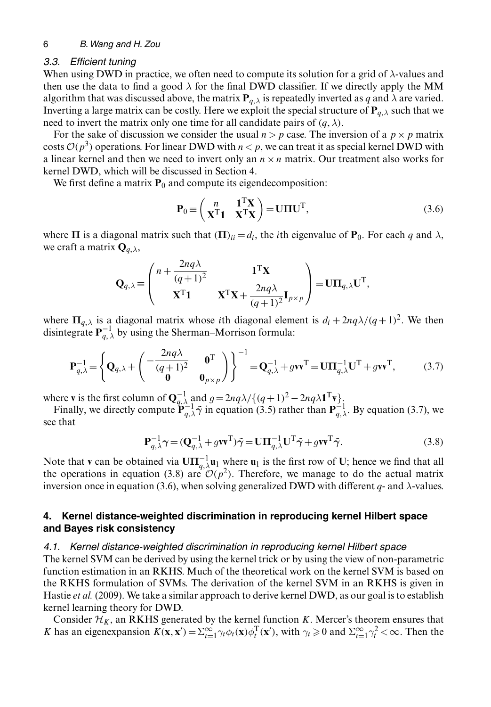## *3.3. Efficient tuning*

When using DWD in practice, we often need to compute its solution for a grid of  $\lambda$ -values and then use the data to find a good  $\lambda$  for the final DWD classifier. If we directly apply the MM algorithm that was discussed above, the matrix  $P_{q,\lambda}$  is repeatedly inverted as q and  $\lambda$  are varied. Inverting a large matrix can be costly. Here we exploit the special structure of  $P_{a,\lambda}$  such that we need to invert the matrix only one time for all candidate pairs of  $(q, \lambda)$ .

For the sake of discussion we consider the usual  $n>p$  case. The inversion of a  $p \times p$  matrix costs  $O(p^3)$  operations. For linear DWD with  $n < p$ , we can treat it as special kernel DWD with a linear kernel and then we need to invert only an  $n \times n$  matrix. Our treatment also works for kernel DWD, which will be discussed in Section 4.

We first define a matrix  $P_0$  and compute its eigendecomposition:

$$
\mathbf{P}_0 \equiv \begin{pmatrix} n & \mathbf{1}^{\mathsf{T}} \mathbf{X} \\ \mathbf{X}^{\mathsf{T}} \mathbf{1} & \mathbf{X}^{\mathsf{T}} \mathbf{X} \end{pmatrix} = \mathbf{U} \mathbf{\Pi} \mathbf{U}^{\mathsf{T}},\tag{3.6}
$$

where **Π** is a diagonal matrix such that  $(\mathbf{\Pi})_{ii} = d_i$ , the *i*th eigenvalue of **P**<sub>0</sub>. For each q and  $\lambda$ , we craft a matrix  $\mathbf{Q}_{q,\lambda}$ ,

$$
\mathbf{Q}_{q,\lambda} \equiv \begin{pmatrix} n + \frac{2nq\lambda}{(q+1)^2} & \mathbf{1}^{\mathrm{T}}\mathbf{X} \\ \mathbf{X}^{\mathrm{T}}\mathbf{1} & \mathbf{X}^{\mathrm{T}}\mathbf{X} + \frac{2nq\lambda}{(q+1)^2}\mathbf{I}_{p\times p} \end{pmatrix} = \mathbf{U}\mathbf{\Pi}_{q,\lambda}\mathbf{U}^{\mathrm{T}},
$$

where  $\Pi_{q,\lambda}$  is a diagonal matrix whose *i*th diagonal element is  $d_i + 2nq\lambda/(q+1)^2$ . We then disintegrate  $\mathbf{P}_{q,\lambda}^{-1}$  by using the Sherman–Morrison formula:

$$
\mathbf{P}_{q,\lambda}^{-1} = \left\{ \mathbf{Q}_{q,\lambda} + \begin{pmatrix} -\frac{2nq\lambda}{(q+1)^2} & \mathbf{0}^{\mathrm{T}} \\ \mathbf{0} & \mathbf{0}_{p\times p} \end{pmatrix} \right\}^{-1} = \mathbf{Q}_{q,\lambda}^{-1} + g\mathbf{v}\mathbf{v}^{\mathrm{T}} = \mathbf{U}\mathbf{\Pi}_{q,\lambda}^{-1}\mathbf{U}^{\mathrm{T}} + g\mathbf{v}\mathbf{v}^{\mathrm{T}},
$$
(3.7)

where **v** is the first column of  $\mathbf{Q}_{q,\lambda}^{-1}$  and  $g = 2nq\lambda/\{(q+1)^2 - 2nq\lambda\mathbf{1}^\text{T}\mathbf{v}\}\)$ .<br>Finally, we directly compute  $\mathbf{P}_{q,\lambda}^{-1}\tilde{\gamma}$  in equation (3.5) rather than  $\mathbf{P}_{q,\lambda}^{-1}$ . By equation (3.7), we see th see that

$$
\mathbf{P}_{q,\lambda}^{-1}\boldsymbol{\gamma} = (\mathbf{Q}_{q,\lambda}^{-1} + g\mathbf{v}\mathbf{v}^{\mathrm{T}})\tilde{\boldsymbol{\gamma}} = \mathbf{U}\mathbf{\Pi}_{q,\lambda}^{-1}\mathbf{U}^{\mathrm{T}}\tilde{\boldsymbol{\gamma}} + g\mathbf{v}\mathbf{v}^{\mathrm{T}}\tilde{\boldsymbol{\gamma}}.
$$
 (3.8)

Note that **v** can be obtained via  $\mathbf{U}\mathbf{\Pi}_{q,\lambda}^{-1}\mathbf{u}_1$  where  $\mathbf{u}_1$  is the first row of U; hence we find that all the operations in equation (3.8) are  $O(n^2)$ . Therefore, we manage to do the actual matrix the operations in equation (3.8) are  $O(p^2)$ . Therefore, we manage to do the actual matrix inversion once in equation (3.6), when solving generalized DWD with different  $q$ - and  $\lambda$ -values.

## **4. Kernel distance-weighted discrimination in reproducing kernel Hilbert space and Bayes risk consistency**

#### *4.1. Kernel distance-weighted discrimination in reproducing kernel Hilbert space*

The kernel SVM can be derived by using the kernel trick or by using the view of non-parametric function estimation in an RKHS. Much of the theoretical work on the kernel SVM is based on the RKHS formulation of SVMs. The derivation of the kernel SVM in an RKHS is given in Hastie *et al.* (2009). We take a similar approach to derive kernel DWD, as our goal is to establish kernel learning theory for DWD.

Consider  $\mathcal{H}_K$ , an RKHS generated by the kernel function K. Mercer's theorem ensures that K has an eigenexpansion  $K(\mathbf{x}, \mathbf{x}') = \sum_{t=1}^{\infty} \gamma_t \phi_t(\mathbf{x}) \phi_t^T(\mathbf{x}')$ , with  $\gamma_t \ge 0$  and  $\sum_{t=1}^{\infty} \gamma_t^2 < \infty$ . Then the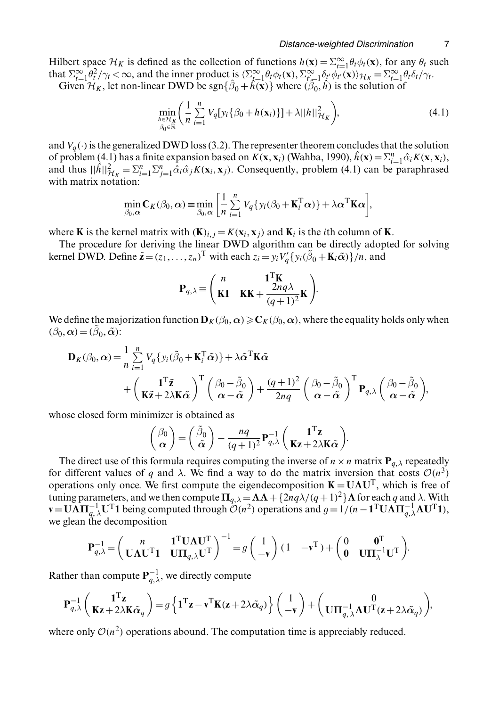Hilbert space  $\mathcal{H}_K$  is defined as the collection of functions  $h(\mathbf{x}) = \sum_{t=1}^{\infty} \theta_t \phi_t(\mathbf{x})$ , for any  $\theta_t$  such that  $\sum_{t=1}^{\infty} \theta_t^2/\gamma_t < \infty$  and the inner product is  $(\sum_{t=1}^{\infty} \theta_t \phi_t(\mathbf{x})) \sum_{t=1}^{\infty} \phi_t(\mathbf{x}) \$ that  $\sum_{i=1}^{\infty} \theta_i^2 / \gamma_t < \infty$ , and the inner product is  $\langle \sum_{i=1}^{\infty} \theta_i \phi_i(\mathbf{x}), \sum_{i'=1}^{\infty} \delta_i \phi_i(\mathbf{x}) \rangle \mathcal{H}_k = \sum_{i=1}^{\infty} \theta_i \delta_i / \gamma_t$ .<br>Given  $\mathcal{H}_k$  let non-linear DWD be son $\{\hat{\beta}_0 + \hat{h}(\mathbf{x})\}$  where  $(\hat{\beta}_0,$ 

Given  $\mathcal{H}_K$ , let non-linear DWD be sgn $\{\hat{\beta}_0 + \hat{h}(\mathbf{x})\}$  where  $(\hat{\beta}_0, \hat{h})$  is the solution of

$$
\min_{\substack{h \in \mathcal{H}_K \\ \beta_0 \in \mathbb{R}}} \left( \frac{1}{n} \sum_{i=1}^n V_q[y_i \{ \beta_0 + h(\mathbf{x}_i) \}] + \lambda ||h||^2_{\mathcal{H}_K} \right),\tag{4.1}
$$

and  $V_q(\cdot)$  is the generalized DWD loss (3.2). The representer theorem concludes that the solution of problem (4.1) has a finite expansion based on  $K(\mathbf{x}, \mathbf{x}_i)$  (Wahba, 1990),  $\hat{h}(\mathbf{x}) = \sum_{i=1}^n \hat{\alpha}_i K(\mathbf{x}, \mathbf{x}_i)$ , and thus  $||\hat{h}||^2_{\mathcal{H}_K} = \sum_{i=1}^n \sum_{j=1}^n \hat{\alpha}_i \hat{\alpha}_j K(\mathbf{x}_i, \mathbf{x}_j)$ . Consequently, problem

$$
\min_{\beta_0, \alpha} \mathbf{C}_K(\beta_0, \alpha) \equiv \min_{\beta_0, \alpha} \left[ \frac{1}{n} \sum_{i=1}^n V_q \{ y_i(\beta_0 + \mathbf{K}_i^T \alpha) \} + \lambda \alpha^T \mathbf{K} \alpha \right],
$$

where **K** is the kernel matrix with  $(K)_{i,j} = K(\mathbf{x}_i, \mathbf{x}_j)$  and  $K_i$  is the *i*th column of **K**.

The procedure for deriving the linear DWD algorithm can be directly adopted for solving kernel DWD. Define  $\tilde{\mathbf{z}} = (z_1, \dots, z_n)^{\text{T}}$  with each  $z_i = y_i V'_q \{ y_i(\tilde{\beta}_0 + \mathbf{K}_i \tilde{\alpha}) \}/n$ , and

$$
\mathbf{P}_{q,\lambda} \equiv \begin{pmatrix} n & \mathbf{1}^{\mathsf{T}}\mathbf{K} \\ \mathbf{K}\mathbf{1} & \mathbf{K}\mathbf{K} + \frac{2nq\lambda}{(q+1)^2}\mathbf{K} \end{pmatrix}.
$$

We define the majorization function  $\mathbf{D}_K(\beta_0, \alpha) \geq \mathbf{C}_K(\beta_0, \alpha)$ , where the equality holds only when  $(\beta_0, \alpha) = (\tilde{\beta}_0, \tilde{\alpha})$ .  $(\beta_0, \alpha) = (\tilde{\beta}_0, \tilde{\alpha})$ :

$$
\mathbf{D}_{K}(\beta_{0}, \alpha) = \frac{1}{n} \sum_{i=1}^{n} V_{q} \{ y_{i}(\tilde{\beta}_{0} + \mathbf{K}_{i}^{T} \tilde{\alpha}) \} + \lambda \tilde{\alpha}^{T} \mathbf{K} \tilde{\alpha} \n+ \left( \frac{\mathbf{1}^{T} \tilde{\mathbf{z}}}{\mathbf{K} \tilde{\mathbf{z}} + 2\lambda \mathbf{K} \tilde{\alpha}} \right)^{T} \left( \frac{\beta_{0} - \tilde{\beta}_{0}}{\alpha - \tilde{\alpha}} \right) + \frac{(q+1)^{2}}{2nq} \left( \frac{\beta_{0} - \tilde{\beta}_{0}}{\alpha - \tilde{\alpha}} \right)^{T} \mathbf{P}_{q, \lambda} \left( \frac{\beta_{0} - \tilde{\beta}_{0}}{\alpha - \tilde{\alpha}} \right),
$$

whose closed form minimizer is obtained as

$$
\begin{pmatrix} \beta_0 \\ \alpha \end{pmatrix} = \begin{pmatrix} \tilde{\beta}_0 \\ \tilde{\alpha} \end{pmatrix} - \frac{nq}{(q+1)^2} \mathbf{P}_{q,\lambda}^{-1} \begin{pmatrix} \mathbf{1}^T \mathbf{z} \\ \mathbf{K} \mathbf{z} + 2\lambda \mathbf{K} \tilde{\alpha} \end{pmatrix}.
$$

The direct use of this formula requires computing the inverse of  $n \times n$  matrix  $P_{q,\lambda}$  repeatedly r different values of a and  $\lambda$ . We find a way to do the matrix inversion that costs  $O(n^3)$ for different values of q and  $\lambda$ . We find a way to do the matrix inversion that costs  $\mathcal{O}(n^3)$ operations only once. We first compute the eigendecomposition  $K = U\Lambda U^{T}$ , which is free of tuning parameters, and we then compute  $\Pi_{q,\lambda} = \Lambda \Lambda + \{2nq\lambda/(q+1)^2\} \Lambda$  for each q and  $\lambda$ . With  $\mathbf{v} = \mathbf{U} \Lambda \Pi_{q,\lambda}^{-1} \mathbf{U}^T \mathbf{1}$  being computed through  $\mathcal{O}(n^2)$  operations and  $g = 1/(n - \mathbf{1}^T \mathbf{U} \Lambda \Pi_{q,\lambda$ we glean the decomposition

$$
\mathbf{P}_{q,\lambda}^{-1} = \begin{pmatrix} n & \mathbf{1}^{\mathrm{T}} \mathbf{U} \mathbf{\Lambda} \mathbf{U}^{\mathrm{T}} \\ \mathbf{U} \mathbf{\Lambda} \mathbf{U}^{\mathrm{T}} \mathbf{1} & \mathbf{U} \mathbf{\Pi}_{q,\lambda} \mathbf{U}^{\mathrm{T}} \end{pmatrix}^{-1} = g \begin{pmatrix} 1 \\ -\mathbf{v} \end{pmatrix} (1 - \mathbf{v}^{\mathrm{T}}) + \begin{pmatrix} 0 & \mathbf{0}^{\mathrm{T}} \\ \mathbf{0} & \mathbf{U} \mathbf{\Pi}_{\lambda}^{-1} \mathbf{U}^{\mathrm{T}} \end{pmatrix}.
$$

Rather than compute  $P_{q,\lambda}^{-1}$ , we directly compute

$$
\mathbf{P}_{q,\lambda}^{-1}\left(\frac{\mathbf{1}^{\mathrm{T}}\mathbf{z}}{\mathbf{K}\mathbf{z}+2\lambda\mathbf{K}\tilde{\alpha}_{q}}\right)=g\left\{\mathbf{1}^{\mathrm{T}}\mathbf{z}-\mathbf{v}^{\mathrm{T}}\mathbf{K}(\mathbf{z}+2\lambda\tilde{\alpha}_{q})\right\}\left(\begin{array}{c}1\\-\mathbf{v}\end{array}\right)+\left(\begin{array}{c}0\\{\mathbf{U}\Pi_{q,\lambda}^{-1}\Lambda\mathbf{U}^{\mathrm{T}}(\mathbf{z}+2\lambda\tilde{\alpha}_{q})}\end{array}\right),
$$

where only  $\mathcal{O}(n^2)$  operations abound. The computation time is appreciably reduced.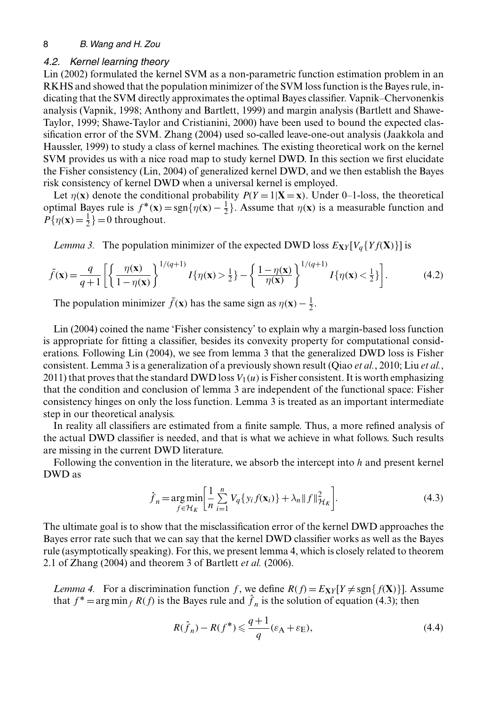#### *4.2. Kernel learning theory*

Lin (2002) formulated the kernel SVM as a non-parametric function estimation problem in an RKHS and showed that the population minimizer of the SVM loss function is the Bayes rule, indicating that the SVM directly approximates the optimal Bayes classifier. Vapnik–Chervonenkis analysis (Vapnik, 1998; Anthony and Bartlett, 1999) and margin analysis (Bartlett and Shawe-Taylor, 1999; Shawe-Taylor and Cristianini, 2000) have been used to bound the expected classification error of the SVM. Zhang (2004) used so-called leave-one-out analysis (Jaakkola and Haussler, 1999) to study a class of kernel machines. The existing theoretical work on the kernel SVM provides us with a nice road map to study kernel DWD. In this section we first elucidate the Fisher consistency (Lin, 2004) of generalized kernel DWD, and we then establish the Bayes risk consistency of kernel DWD when a universal kernel is employed.

Let  $\eta(x)$  denote the conditional probability  $P(Y=1|\mathbf{X}=\mathbf{x})$ . Under 0–1-loss, the theoretical optimal Bayes rule is  $f^*(\mathbf{x}) = \text{sgn}\{\eta(\mathbf{x}) - \frac{1}{2}\}\)$ . Assume that  $\eta(\mathbf{x})$  is a measurable function and  $P\{\eta(\mathbf{x}) - \frac{1}{2}\}$  of throughout  $P\{\eta(\mathbf{x}) = \frac{1}{2}\} = 0$  throughout.

*Lemma 3.* The population minimizer of the expected DWD loss  $E_{XY}[V_q\{Yf(\mathbf{X})\}]$  is

$$
\tilde{f}(\mathbf{x}) = \frac{q}{q+1} \left[ \left\{ \frac{\eta(\mathbf{x})}{1-\eta(\mathbf{x})} \right\}^{1/(q+1)} I\{\eta(\mathbf{x}) > \frac{1}{2}\} - \left\{ \frac{1-\eta(\mathbf{x})}{\eta(\mathbf{x})} \right\}^{1/(q+1)} I\{\eta(\mathbf{x}) < \frac{1}{2}\} \right].
$$
\n(4.2)

The population minimizer  $\tilde{f}(\mathbf{x})$  has the same sign as  $\eta(\mathbf{x}) - \frac{1}{2}$ .

Lin (2004) coined the name 'Fisher consistency' to explain why a margin-based loss function is appropriate for fitting a classifier, besides its convexity property for computational considerations. Following Lin (2004), we see from lemma 3 that the generalized DWD loss is Fisher consistent. Lemma 3 is a generalization of a previously shown result (Qiao *et al.*, 2010; Liu *et al.*, 2011) that proves that the standard DWD loss  $V_1(u)$  is Fisher consistent. It is worth emphasizing that the condition and conclusion of lemma 3 are independent of the functional space: Fisher consistency hinges on only the loss function. Lemma 3 is treated as an important intermediate step in our theoretical analysis.

In reality all classifiers are estimated from a finite sample. Thus, a more refined analysis of the actual DWD classifier is needed, and that is what we achieve in what follows. Such results are missing in the current DWD literature.

Following the convention in the literature, we absorb the intercept into h and present kernel DWD as

$$
\hat{f}_n = \underset{f \in \mathcal{H}_K}{\arg \min} \left[ \frac{1}{n} \sum_{i=1}^n V_q \{ y_i f(\mathbf{x}_i) \} + \lambda_n \| f \|_{\mathcal{H}_K}^2 \right]. \tag{4.3}
$$

The ultimate goal is to show that the misclassification error of the kernel DWD approaches the Bayes error rate such that we can say that the kernel DWD classifier works as well as the Bayes rule (asymptotically speaking). For this, we present lemma 4, which is closely related to theorem 2.1 of Zhang (2004) and theorem 3 of Bartlett *et al.* (2006).

*Lemma 4.* For a discrimination function f, we define  $R(f) = E_{XY}[Y \neq \text{sgn}\{f(\mathbf{X})\}]$ . Assume that  $f^* = \arg \min_f R(f)$  is the Bayes rule and  $\hat{f}_n$  is the solution of equation (4.3); then

$$
R(\hat{f}_n) - R(f^*) \leqslant \frac{q+1}{q} (\varepsilon_A + \varepsilon_E),\tag{4.4}
$$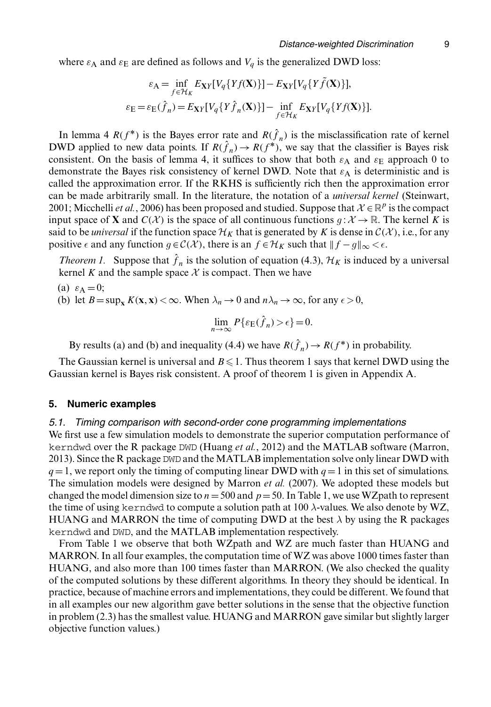where  $\varepsilon_A$  and  $\varepsilon_E$  are defined as follows and  $V_q$  is the generalized DWD loss:

$$
\varepsilon_{\mathbf{A}} = \inf_{f \in \mathcal{H}_K} E_{\mathbf{X}Y}[V_q \{ Y f(\mathbf{X}) \}] - E_{\mathbf{X}Y}[V_q \{ Y \tilde{f}(\mathbf{X}) \}],
$$

$$
\varepsilon_{\mathbf{E}} = \varepsilon_{\mathbf{E}}(\hat{f}_n) = E_{\mathbf{X}Y}[V_q \{ Y \hat{f}_n(\mathbf{X}) \}] - \inf_{f \in \mathcal{H}_K} E_{\mathbf{X}Y}[V_q \{ Y f(\mathbf{X}) \}].
$$

In lemma 4  $R(f^*)$  is the Bayes error rate and  $R(\hat{f}_n)$  is the misclassification rate of kernel DWD applied to new data points. If  $R(\hat{f}_n) \to R(f^*)$ , we say that the classifier is Bayes risk consistent. On the basis of lemma 4, it suffices to show that both  $\varepsilon_A$  and  $\varepsilon_E$  approach 0 to demonstrate the Bayes risk consistency of kernel DWD. Note that  $\varepsilon_A$  is deterministic and is called the approximation error. If the RKHS is sufficiently rich then the approximation error can be made arbitrarily small. In the literature, the notation of a *universal kernel* (Steinwart, 2001; Micchelli *et al.*, 2006) has been proposed and studied. Suppose that  $X \in \mathbb{R}^p$  is the compact input space of **X** and  $C(\mathcal{X})$  is the space of all continuous functions  $g : \mathcal{X} \to \mathbb{R}$ . The kernel K is said to be *universal* if the function space  $\mathcal{H}_K$  that is generated by K is dense in  $\mathcal{C}(\mathcal{X})$ , i.e., for any positive  $\epsilon$  and any function  $g \in \mathcal{C}(\mathcal{X})$ , there is an  $f \in \mathcal{H}_K$  such that  $||f - g||_{\infty} < \epsilon$ .

*Theorem 1.* Suppose that  $\hat{f}_n$  is the solution of equation (4.3),  $\mathcal{H}_K$  is induced by a universal kernel K and the sample space  $X$  is compact. Then we have

(a) 
$$
\varepsilon_A = 0
$$
;  
\n(b) let  $B = \sup_x K(x, x) < \infty$ . When  $\lambda_n \to 0$  and  $n\lambda_n \to \infty$ , for any  $\varepsilon > 0$ ,

$$
\lim_{n \to \infty} P\{\varepsilon_{\mathcal{E}}(\hat{f}_n) > \epsilon\} = 0.
$$

By results (a) and (b) and inequality (4.4) we have  $R(\hat{f}_n) \to R(f^*)$  in probability.

The Gaussian kernel is universal and  $B \leq 1$ . Thus theorem 1 says that kernel DWD using the Gaussian kernel is Bayes risk consistent. A proof of theorem 1 is given in Appendix A.

# **5. Numeric examples**

#### *5.1. Timing comparison with second-order cone programming implementations*

We first use a few simulation models to demonstrate the superior computation performance of kerndwd over the R package DWD (Huang *et al.*, 2012) and the MATLAB software (Marron, 2013). Since the R package DWD and the MATLAB implementation solve only linear DWD with  $q=1$ , we report only the timing of computing linear DWD with  $q=1$  in this set of simulations. The simulation models were designed by Marron *et al.* (2007). We adopted these models but changed the model dimension size to  $n=500$  and  $p=50$ . In Table 1, we use WZpath to represent the time of using kerndwd to compute a solution path at  $100 \lambda$ -values. We also denote by WZ, HUANG and MARRON the time of computing DWD at the best  $\lambda$  by using the R packages kerndwd and DWD, and the MATLAB implementation respectively.

From Table 1 we observe that both WZpath and WZ are much faster than HUANG and MARRON. In all four examples, the computation time of WZ was above 1000 times faster than HUANG, and also more than 100 times faster than MARRON. (We also checked the quality of the computed solutions by these different algorithms. In theory they should be identical. In practice, because of machine errors and implementations, they could be different. We found that in all examples our new algorithm gave better solutions in the sense that the objective function in problem (2.3) has the smallest value. HUANG and MARRON gave similar but slightly larger objective function values.)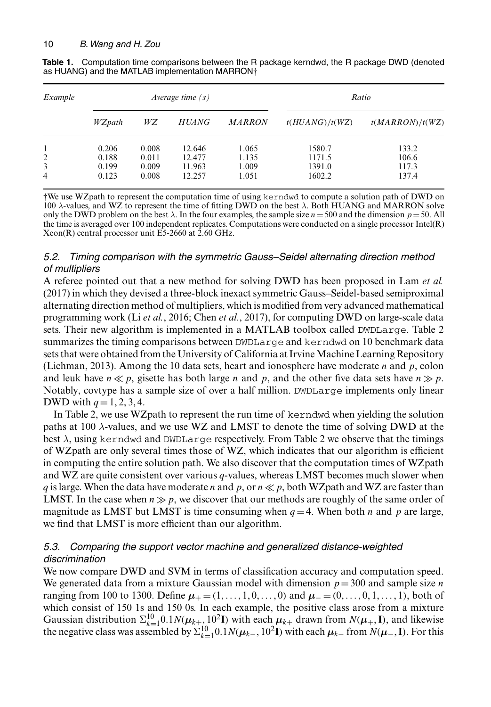| Example |        |       | Average time $(s)$ |               | Ratio          |                 |  |  |  |
|---------|--------|-------|--------------------|---------------|----------------|-----------------|--|--|--|
|         | WZpath | WZ    | HUANG              | <i>MARRON</i> | t(HUANG)/t(WZ) | t(MARRON)/t(WZ) |  |  |  |
|         | 0.206  | 0.008 | 12.646             | 1.065         | 1580.7         | 133.2           |  |  |  |
| 2       | 0.188  | 0.011 | 12.477             | 1.135         | 1171.5         | 106.6           |  |  |  |
| 3       | 0.199  | 0.009 | 11.963             | 1.009         | 1391.0         | 117.3           |  |  |  |
| 4       | 0.123  | 0.008 | 12.257             | 1.051         | 1602.2         | 137.4           |  |  |  |

**Table 1.** Computation time comparisons between the R package kerndwd, the R package DWD (denoted as HUANG) and the MATLAB implementation MARRON†

†We use WZpath to represent the computation time of using kerndwd to compute a solution path of DWD on <sup>100</sup> λ-values, and WZ to represent the time of fitting DWD on the best λ. Both HUANG and MARRON solve only the DWD problem on the best  $\lambda$ . In the four examples, the sample size  $n=500$  and the dimension  $p=50$ . All the time is averaged over 100 independent replicates. Computations were conducted on a single processor Intel(R) Xeon(R) central processor unit E5-2660 at 2.60 GHz.

# *5.2. Timing comparison with the symmetric Gauss–Seidel alternating direction method of multipliers*

A referee pointed out that a new method for solving DWD has been proposed in Lam *et al.* (2017) in which they devised a three-block inexact symmetric Gauss–Seidel-based semiproximal alternating direction method of multipliers, which is modified from very advanced mathematical programming work (Li *et al.*, 2016; Chen *et al.*, 2017), for computing DWD on large-scale data sets. Their new algorithm is implemented in a MATLAB toolbox called DWDLarge. Table 2 summarizes the timing comparisons between DWDLarge and kerndwd on 10 benchmark data sets that were obtained from the University of California at Irvine Machine Learning Repository (Lichman, 2013). Among the 10 data sets, heart and ionosphere have moderate n and  $p$ , colon and leuk have  $n \ll p$ , gisette has both large n and p, and the other five data sets have  $n \gg p$ . Notably, covtype has a sample size of over a half million. DWDLarge implements only linear DWD with  $q=1, 2, 3, 4$ .

In Table 2, we use WZpath to represent the run time of kerndwd when yielding the solution paths at 100  $\lambda$ -values, and we use WZ and LMST to denote the time of solving DWD at the best  $\lambda$ , using kerndwd and DWDLarge respectively. From Table 2 we observe that the timings of WZpath are only several times those of WZ, which indicates that our algorithm is efficient in computing the entire solution path. We also discover that the computation times of WZpath and WZ are quite consistent over various  $q$ -values, whereas LMST becomes much slower when q is large. When the data have moderate n and p, or  $n \ll p$ , both WZpath and WZ are faster than LMST. In the case when  $n \gg p$ , we discover that our methods are roughly of the same order of magnitude as LMST but LMST is time consuming when  $q = 4$ . When both n and p are large, we find that LMST is more efficient than our algorithm.

# *5.3. Comparing the support vector machine and generalized distance-weighted discrimination*

We now compare DWD and SVM in terms of classification accuracy and computation speed. We generated data from a mixture Gaussian model with dimension  $p=300$  and sample size n ranging from 100 to 1300. Define  $\mu_+ = (1, \ldots, 1, 0, \ldots, 0)$  and  $\mu_- = (0, \ldots, 0, 1, \ldots, 1)$ , both of which consist of 150 1s and 150 0s. In each example, the positive class arose from a mixture Gaussian distribution  $\Sigma_{k=1}^{10} 0.1 N(\mu_{k+1} 10^2 \textbf{I})$  with each  $\mu_{k+}$  drawn from  $N(\mu_+,\textbf{I})$ , and likewise<br>the negative class was assembled by  $\Sigma_{k=1}^{10} 0.1 N(\mu_{k-1} 10^2 \textbf{I})$  with each  $\mu_{k-}$  from  $N(\mu_-, \$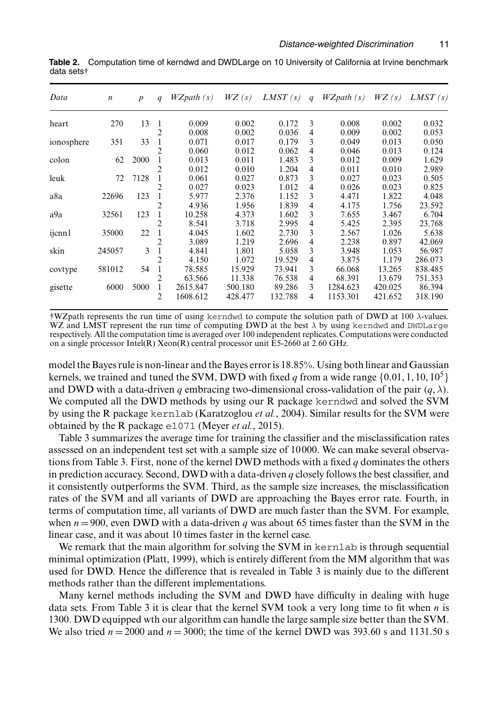| Data       | $\boldsymbol{n}$ | $\boldsymbol{p}$ | q              | $WZ$ <i>path</i> $(s)$ | WZ(s)   | LMST(s) | q | $WZ$ <i>path</i> $(s)$ | WZ(s)   | LMST(s) |
|------------|------------------|------------------|----------------|------------------------|---------|---------|---|------------------------|---------|---------|
| heart      | 270              | 13               | -1             | 0.009                  | 0.002   | 0.172   | 3 | 0.008                  | 0.002   | 0.032   |
|            |                  |                  | 2              | 0.008                  | 0.002   | 0.036   | 4 | 0.009                  | 0.002   | 0.053   |
| ionosphere | 351              | 33               |                | 0.071                  | 0.017   | 0.179   | 3 | 0.049                  | 0.013   | 0.050   |
|            |                  |                  | 2              | 0.060                  | 0.012   | 0.062   | 4 | 0.046                  | 0.013   | 0.124   |
| colon      | 62               | 2000             |                | 0.013                  | 0.011   | 1.483   | 3 | 0.012                  | 0.009   | 1.629   |
|            |                  |                  | $\overline{c}$ | 0.012                  | 0.010   | 1.204   | 4 | 0.011                  | 0.010   | 2.989   |
| leuk       | 72               | 7128             |                | 0.061                  | 0.027   | 0.873   | 3 | 0.027                  | 0.023   | 0.505   |
|            |                  |                  | 2              | 0.027                  | 0.023   | 1.012   | 4 | 0.026                  | 0.023   | 0.825   |
| a8a        | 22696            | 123              |                | 5.977                  | 2.376   | 1.152   | 3 | 4.471                  | 1.822   | 4.048   |
|            |                  |                  | 2              | 4.936                  | 1.956   | 1.839   | 4 | 4.175                  | 1.756   | 23.592  |
| a9a        | 32561            | 123              | 1              | 10.258                 | 4.373   | 1.602   | 3 | 7.655                  | 3.467   | 6.704   |
|            |                  |                  | 2              | 8.541                  | 3.718   | 2.995   | 4 | 5.425                  | 2.395   | 23.768  |
| ijcnn1     | 35000            | 22               |                | 4.045                  | 1.602   | 2.730   | 3 | 2.567                  | 1.026   | 5.638   |
|            |                  |                  | 2              | 3.089                  | 1.219   | 2.696   | 4 | 2.238                  | 0.897   | 42.069  |
| skin       | 245057           | 3                | 1              | 4.841                  | 1.801   | 5.058   | 3 | 3.948                  | 1.053   | 56.987  |
|            |                  |                  | $\overline{c}$ | 4.150                  | 1.072   | 19.529  | 4 | 3.875                  | 1.179   | 286.073 |
| covtype    | 581012           | 54               | 1              | 78.585                 | 15.929  | 73.941  | 3 | 66.068                 | 13.265  | 838.485 |
|            |                  |                  | 2              | 63.566                 | 11.338  | 76.538  | 4 | 68.391                 | 13.679  | 751.353 |
| gisette    | 6000             | 5000             |                | 2615.847               | 500.180 | 89.286  | 3 | 1284.623               | 420.025 | 86.394  |
|            |                  |                  | $\overline{c}$ | 1608.612               | 428.477 | 132.788 | 4 | 1153.301               | 421.652 | 318.190 |

**Table 2.** Computation time of kerndwd and DWDLarge on 10 University of California at Irvine benchmark data sets†

†WZpath represents the run time of using kerndwd to compute the solution path of DWD at 100 λ-values. WZ and LMST represent the run time of computing DWD at the best  $\lambda$  by using kerndwd and DWDLarge respectively. All the computation time is averaged over 100 independent replicates. Computations were conducted on a single processor Intel(R) Xeon(R) central processor unit E5-2660 at 2.60 GHz.

model the Bayes rule is non-linear and the Bayes error is 18:85%. Using both linear and Gaussian kernels, we trained and tuned the SVM, DWD with fixed q from a wide range  $\{0.01, 1, 10, 10^3\}$ and DWD with a data-driven q embracing two-dimensional cross-validation of the pair  $(q, \lambda)$ . We computed all the DWD methods by using our R package kerndwd and solved the SVM by using the R package kernlab (Karatzoglou *et al.*, 2004). Similar results for the SVM were obtained by the R package e1071 (Meyer *et al.*, 2015).

Table 3 summarizes the average time for training the classifier and the misclassification rates assessed on an independent test set with a sample size of 10 000. We can make several observations from Table 3. First, none of the kernel DWD methods with a fixed q dominates the others in prediction accuracy. Second, DWD with a data-driven  $q$  closely follows the best classifier, and it consistently outperforms the SVM. Third, as the sample size increases, the misclassification rates of the SVM and all variants of DWD are approaching the Bayes error rate. Fourth, in terms of computation time, all variants of DWD are much faster than the SVM. For example, when  $n=900$ , even DWD with a data-driven q was about 65 times faster than the SVM in the linear case, and it was about 10 times faster in the kernel case.

We remark that the main algorithm for solving the SVM in kernlab is through sequential minimal optimization (Platt, 1999), which is entirely different from the MM algorithm that was used for DWD. Hence the difference that is revealed in Table 3 is mainly due to the different methods rather than the different implementations.

Many kernel methods including the SVM and DWD have difficulty in dealing with huge data sets. From Table 3 it is clear that the kernel SVM took a very long time to fit when  $n$  is 1300. DWD equipped wth our algorithm can handle the large sample size better than the SVM. We also tried  $n=2000$  and  $n=3000$ ; the time of the kernel DWD was 393.60 s and 1131.50 s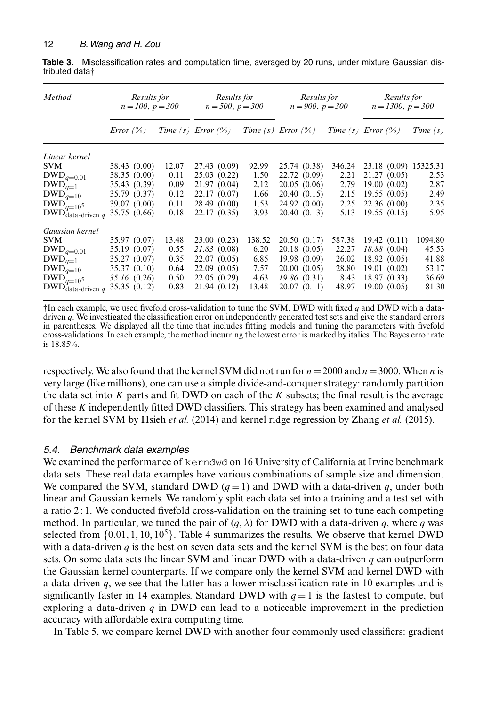| Method                                     | Results for<br>$n = 100, p = 300$ |       | Results for<br>$n = 500, p = 300$ |        | Results for<br>$n = 900, p = 300$ |        | Results for<br>$n = 1300, p = 300$ |            |  |
|--------------------------------------------|-----------------------------------|-------|-----------------------------------|--------|-----------------------------------|--------|------------------------------------|------------|--|
|                                            | Error $(\% )$                     |       | Time $(s)$ Error $(\%)$           |        | Time $(s)$ Error $(\%)$           |        | Time $(s)$ Error $(\%)$            | Time $(s)$ |  |
| Linear kernel                              |                                   |       |                                   |        |                                   |        |                                    |            |  |
| <b>SVM</b>                                 | 38.43 (0.00)                      | 12.07 | 27.43 (0.09)                      | 92.99  | 25.74 (0.38)                      | 346.24 | 23.18 (0.09) 15325.31              |            |  |
| $DWD_{q=0.01}$                             | 38.35 (0.00)                      | 0.11  | 25.03(0.22)                       | 1.50   | 22.72 (0.09)                      | 2.21   | 21.27(0.05)                        | 2.53       |  |
| $DWD_{q=1}$                                | 35.43 (0.39)                      | 0.09  | 21.97(0.04)                       | 2.12   | 20.05(0.06)                       | 2.79   | 19.00(0.02)                        | 2.87       |  |
| $DWD_{q=10}$                               | 35.79 (0.37)                      | 0.12  | 22.17 (0.07)                      | 1.66   | 20.40(0.15)                       | 2.15   | 19.55(0.05)                        | 2.49       |  |
| $\text{DWD}_{q=10^5}$                      | 39.07 (0.00)                      | 0.11  | 28.49(0.00)                       | 1.53   | 24.92(0.00)                       | 2.25   | 22.36(0.00)                        | 2.35       |  |
| $\text{DWD}^{\prime}_{\text{data-driven}}$ | 35.75 (0.66)                      | 0.18  | 22.17 (0.35)                      | 3.93   | 20.40(0.13)                       | 5.13   | 19.55(0.15)                        | 5.95       |  |
| Gaussian kernel                            |                                   |       |                                   |        |                                   |        |                                    |            |  |
| <b>SVM</b>                                 | 35.97 (0.07)                      | 13.48 | 23.00(0.23)                       | 138.52 | 20.50(0.17)                       | 587.38 | 19.42(0.11)                        | 1094.80    |  |
| $\text{DWD}_{q=0.01}$                      | 35.19 (0.07)                      | 0.55  | 21.83 (0.08)                      | 6.20   | 20.18 (0.05)                      | 22.27  | 18.88 (0.04)                       | 45.53      |  |
| $DWD_{q=1}$                                | 35.27 (0.07)                      | 0.35  | 22.07(0.05)                       | 6.85   | 19.98(0.09)                       | 26.02  | 18.92(0.05)                        | 41.88      |  |
| $\text{DWD}_{q=10}$                        | 35.37 (0.10)                      | 0.64  | 22.09(0.05)                       | 7.57   | 20.00(0.05)                       | 28.80  | 19.01(0.02)                        | 53.17      |  |
| $\text{DWD}_{q=10^5}$                      | 35.16(0.26)                       | 0.50  | 22.05(0.29)                       | 4.63   | 19.86(0.31)                       | 18.43  | 18.97(0.33)                        | 36.69      |  |
| $\text{DWD}_{\text{data-driven}}^{4}$      | 35.35 (0.12)                      | 0.83  | 21.94 (0.12)                      | 13.48  | 20.07(0.11)                       | 48.97  | 19.00(0.05)                        | 81.30      |  |

**Table 3.** Misclassification rates and computation time, averaged by 20 runs, under mixture Gaussian distributed data†

 $\dagger$ In each example, we used fivefold cross-validation to tune the SVM, DWD with fixed q and DWD with a datadriven  $q$ . We investigated the classification error on independently generated test sets and give the standard errors in parentheses. We displayed all the time that includes fitting models and tuning the parameters with fivefold cross-validations. In each example, the method incurring the lowest error is marked by italics. The Bayes error rate is 18.85%.

respectively. We also found that the kernel SVM did not run for  $n=2000$  and  $n=3000$ . When n is very large (like millions), one can use a simple divide-and-conquer strategy: randomly partition the data set into  $K$  parts and fit DWD on each of the  $K$  subsets; the final result is the average of these K independently fitted DWD classifiers. This strategy has been examined and analysed for the kernel SVM by Hsieh *et al.* (2014) and kernel ridge regression by Zhang *et al.* (2015).

## *5.4. Benchmark data examples*

We examined the performance of kerndwd on 16 University of California at Irvine benchmark data sets. These real data examples have various combinations of sample size and dimension. We compared the SVM, standard DWD  $(q = 1)$  and DWD with a data-driven q, under both linear and Gaussian kernels. We randomly split each data set into a training and a test set with a ratio 2:1. We conducted fivefold cross-validation on the training set to tune each competing method. In particular, we tuned the pair of  $(q, \lambda)$  for DWD with a data-driven q, where q was selected from  $\{0.01, 1, 10, 10^5\}$ . Table 4 summarizes the results. We observe that kernel DWD with a data-driven  $q$  is the best on seven data sets and the kernel SVM is the best on four data sets. On some data sets the linear SVM and linear DWD with a data-driven  $q$  can outperform the Gaussian kernel counterparts. If we compare only the kernel SVM and kernel DWD with a data-driven  $q$ , we see that the latter has a lower misclassification rate in 10 examples and is significantly faster in 14 examples. Standard DWD with  $q = 1$  is the fastest to compute, but exploring a data-driven  $q$  in DWD can lead to a noticeable improvement in the prediction accuracy with affordable extra computing time.

In Table 5, we compare kernel DWD with another four commonly used classifiers: gradient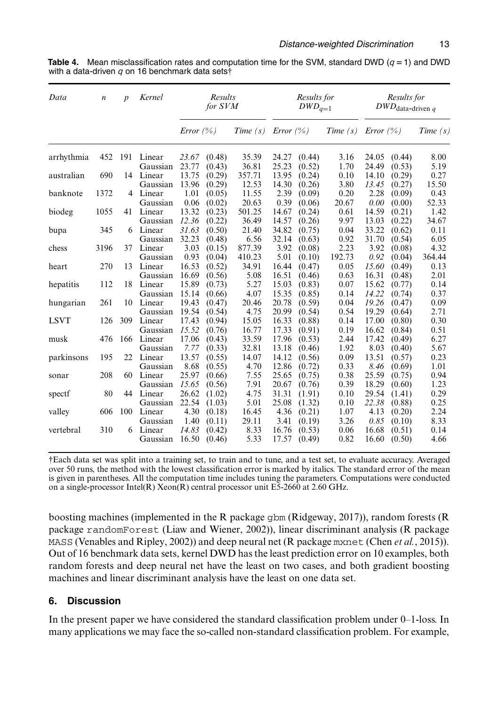| Data        | n    | $\boldsymbol{p}$ | Kernel    | Results<br>for SVM |        |            | Results for<br>$DWD_{q=1}$ |        |            | Results for<br>$DWD_{\text{data-driven }q}$ |        |            |
|-------------|------|------------------|-----------|--------------------|--------|------------|----------------------------|--------|------------|---------------------------------------------|--------|------------|
|             |      |                  |           | Error $(\% )$      |        | Time $(s)$ | Error $(\% )$              |        | Time $(s)$ | Error $(\% )$                               |        | Time $(s)$ |
| arrhythmia  | 452  | 191              | Linear    | 23.67              | (0.48) | 35.39      | 24.27                      | (0.44) | 3.16       | 24.05                                       | (0.44) | 8.00       |
|             |      |                  | Gaussian  | 23.77              | (0.43) | 36.81      | 25.23                      | (0.52) | 1.70       | 24.49                                       | (0.53) | 5.19       |
| australian  | 690  |                  | 14 Linear | 13.75              | (0.29) | 357.71     | 13.95                      | (0.24) | 0.10       | 14.10                                       | (0.29) | 0.27       |
|             |      |                  | Gaussian  | 13.96              | (0.29) | 12.53      | 14.30                      | (0.26) | 3.80       | 13.45                                       | (0.27) | 15.50      |
| banknote    | 1372 |                  | 4 Linear  | 1.01               | (0.05) | 11.55      | 2.39                       | (0.09) | 0.20       | 2.28                                        | (0.09) | 0.43       |
|             |      |                  | Gaussian  | 0.06               | (0.02) | 20.63      | 0.39                       | (0.06) | 20.67      | 0.00                                        | (0.00) | 52.33      |
| biodeg      | 1055 | 41               | Linear    | 13.32              | (0.23) | 501.25     | 14.67                      | (0.24) | 0.61       | 14.59                                       | (0.21) | 1.42       |
|             |      |                  | Gaussian  | 12.36              | (0.22) | 36.49      | 14.57                      | (0.26) | 9.97       | 13.03                                       | (0.22) | 34.67      |
| bupa        | 345  | 6                | Linear    | 31.63              | (0.50) | 21.40      | 34.82                      | (0.75) | 0.04       | 33.22                                       | (0.62) | 0.11       |
|             |      |                  | Gaussian  | 32.23              | (0.48) | 6.56       | 32.14                      | (0.63) | 0.92       | 31.70                                       | (0.54) | 6.05       |
| chess       | 3196 | 37               | Linear    | 3.03               | (0.15) | 877.39     | 3.92                       | (0.08) | 2.23       | 3.92                                        | (0.08) | 4.32       |
|             |      |                  | Gaussian  | 0.93               | (0.04) | 410.23     | 5.01                       | (0.10) | 192.73     | 0.92                                        | (0.04) | 364.44     |
| heart       | 270  | 13               | Linear    | 16.53              | (0.52) | 34.91      | 16.44                      | (0.47) | 0.05       | 15.60                                       | (0.49) | 0.13       |
|             |      |                  | Gaussian  | 16.69              | (0.56) | 5.08       | 16.51                      | (0.46) | 0.63       | 16.31                                       | (0.48) | 2.01       |
| hepatitis   | 112  | 18               | Linear    | 15.89              | (0.73) | 5.27       | 15.03                      | (0.83) | 0.07       | 15.62                                       | (0.77) | 0.14       |
|             |      |                  | Gaussian  | 15.14              | (0.66) | 4.07       | 15.35                      | (0.85) | 0.14       | 14.22                                       | (0.74) | 0.37       |
| hungarian   | 261  | 10               | Linear    | 19.43              | (0.47) | 20.46      | 20.78                      | (0.59) | 0.04       | 19.26                                       | (0.47) | 0.09       |
|             |      |                  | Gaussian  | 19.54              | (0.54) | 4.75       | 20.99                      | (0.54) | 0.54       | 19.29                                       | (0.64) | 2.71       |
| <b>LSVT</b> | 126  | 309              | Linear    | 17.43              | (0.94) | 15.05      | 16.33                      | (0.88) | 0.14       | 17.00                                       | (0.80) | 0.30       |
|             |      |                  | Gaussian  | 15.52              | (0.76) | 16.77      | 17.33                      | (0.91) | 0.19       | 16.62                                       | (0.84) | 0.51       |
| musk        | 476  | 166              | Linear    | 17.06              | (0.43) | 33.59      | 17.96                      | (0.53) | 2.44       | 17.42                                       | (0.49) | 6.27       |
|             |      |                  | Gaussian  | 7.77               | (0.33) | 32.81      | 13.18                      | (0.46) | 1.92       | 8.03                                        | (0.40) | 5.67       |
| parkinsons  | 195  | 22               | Linear    | 13.57              | (0.55) | 14.07      | 14.12                      | (0.56) | 0.09       | 13.51                                       | (0.57) | 0.23       |
|             |      |                  | Gaussian  | 8.68               | (0.55) | 4.70       | 12.86                      | (0.72) | 0.33       | 8.46                                        | (0.69) | 1.01       |
| sonar       | 208  | 60               | Linear    | 25.97              | (0.66) | 7.55       | 25.65                      | (0.75) | 0.38       | 25.59                                       | (0.75) | 0.94       |
|             |      |                  | Gaussian  | 15.65              | (0.56) | 7.91       | 20.67                      | (0.76) | 0.39       | 18.29                                       | (0.60) | 1.23       |
| spectf      | 80   | 44               | Linear    | 26.62              | (1.02) | 4.75       | 31.31                      | (1.91) | 0.10       | 29.54                                       | (1.41) | 0.29       |
|             |      |                  | Gaussian  | 22.54              | (1.03) | 5.01       | 25.08                      | (1.32) | 0.10       | 22.38                                       | (0.88) | 0.25       |
| valley      | 606  | 100              | Linear    | 4.30               | (0.18) | 16.45      | 4.36                       | (0.21) | 1.07       | 4.13                                        | (0.20) | 2.24       |
|             |      |                  | Gaussian  | 1.40               | (0.11) | 29.11      | 3.41                       | (0.19) | 3.26       | 0.85                                        | (0.10) | 8.33       |
| vertebral   | 310  | 6                | Linear    | 14.83              | (0.42) | 8.33       | 16.76                      | (0.53) | 0.06       | 16.68                                       | (0.51) | 0.14       |
|             |      |                  | Gaussian  | 16.50              | (0.46) | 5.33       | 17.57                      | (0.49) | 0.82       | 16.60                                       | (0.50) | 4.66       |
|             |      |                  |           |                    |        |            |                            |        |            |                                             |        |            |

**Table 4.** Mean misclassification rates and computation time for the SVM, standard DWD  $(q = 1)$  and DWD with a data-driven *q* on 16 benchmark data sets†

†Each data set was split into a training set, to train and to tune, and a test set, to evaluate accuracy. Averaged over 50 runs, the method with the lowest classification error is marked by italics. The standard error of the mean is given in parentheses. All the computation time includes tuning the parameters. Computations were conducted on a single-processor Intel(R) Xeon(R) central processor unit E5-2660 at 2.60 GHz.

boosting machines (implemented in the R package gbm (Ridgeway, 2017)), random forests (R package randomForest (Liaw and Wiener, 2002)), linear discriminant analysis (R package MASS (Venables and Ripley, 2002)) and deep neural net (R package mxnet (Chen *et al.*, 2015)). Out of 16 benchmark data sets, kernel DWD has the least prediction error on 10 examples, both random forests and deep neural net have the least on two cases, and both gradient boosting machines and linear discriminant analysis have the least on one data set.

# **6. Discussion**

In the present paper we have considered the standard classification problem under 0–1-loss. In many applications we may face the so-called non-standard classification problem. For example,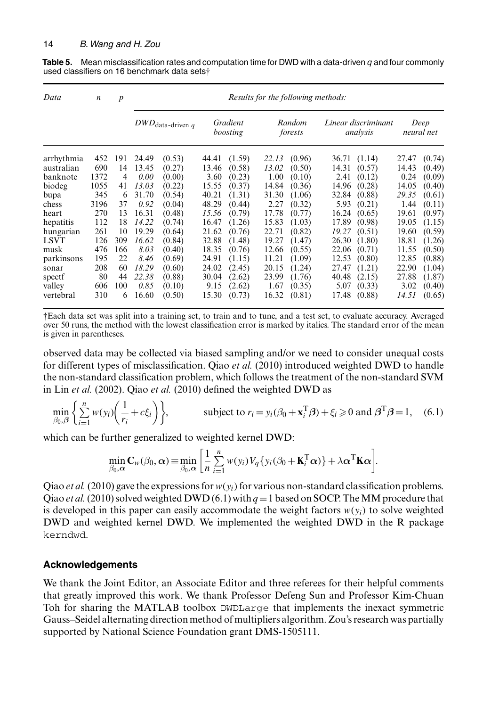| Data<br>arrhythmia<br>australian<br>banknote<br>biodeg<br>bupa<br>chess<br>heart<br>hepatitis<br>hungarian<br><b>LSVT</b><br>musk<br>parkinsons | n                                                                                   | $\boldsymbol{p}$                                                      | Results for the following methods:                                                                   |                                                                                                                      |                                                                                                         |                                                                                                                      |                                                                                                        |                                                                                                                      |                                                                                                        |                                                                                                                      |                                                                                                        |                                                                                                                      |  |
|-------------------------------------------------------------------------------------------------------------------------------------------------|-------------------------------------------------------------------------------------|-----------------------------------------------------------------------|------------------------------------------------------------------------------------------------------|----------------------------------------------------------------------------------------------------------------------|---------------------------------------------------------------------------------------------------------|----------------------------------------------------------------------------------------------------------------------|--------------------------------------------------------------------------------------------------------|----------------------------------------------------------------------------------------------------------------------|--------------------------------------------------------------------------------------------------------|----------------------------------------------------------------------------------------------------------------------|--------------------------------------------------------------------------------------------------------|----------------------------------------------------------------------------------------------------------------------|--|
|                                                                                                                                                 |                                                                                     |                                                                       |                                                                                                      | $DWD$ <sub>data-driven q</sub>                                                                                       |                                                                                                         | Gradient<br>boosting                                                                                                 |                                                                                                        | Random<br>forests                                                                                                    |                                                                                                        | Linear discriminant<br>analysis                                                                                      |                                                                                                        | Deep<br>neural net                                                                                                   |  |
|                                                                                                                                                 | 452<br>690<br>1372<br>1055<br>345<br>3196<br>270<br>112<br>261<br>126<br>476<br>195 | 191<br>14<br>4<br>41<br>6<br>37<br>13<br>18<br>10<br>309<br>166<br>22 | 24.49<br>13.45<br>0.00<br>13.03<br>31.70<br>0.92<br>16.31<br>14.22<br>19.29<br>16.62<br>8.03<br>8.46 | (0.53)<br>(0.27)<br>(0.00)<br>(0.22)<br>(0.54)<br>(0.04)<br>(0.48)<br>(0.74)<br>(0.64)<br>(0.84)<br>(0.40)<br>(0.69) | 44.41<br>13.46<br>3.60<br>15.55<br>40.21<br>48.29<br>15.56<br>16.47<br>21.62<br>32.88<br>18.35<br>24.91 | (1.59)<br>(0.58)<br>(0.23)<br>(0.37)<br>(1.31)<br>(0.44)<br>(0.79)<br>(1.26)<br>(0.76)<br>(1.48)<br>(0.76)<br>(1.15) | 22.13<br>13.02<br>1.00<br>14.84<br>31.30<br>2.27<br>17.78<br>15.83<br>22.71<br>19.27<br>12.66<br>11.21 | (0.96)<br>(0.50)<br>(0.10)<br>(0.36)<br>(1.06)<br>(0.32)<br>(0.77)<br>(1.03)<br>(0.82)<br>(1.47)<br>(0.55)<br>(1.09) | 36.71<br>14.31<br>2.41<br>14.96<br>32.84<br>5.93<br>16.24<br>17.89<br>19.27<br>26.30<br>22.06<br>12.53 | (1.14)<br>(0.57)<br>(0.12)<br>(0.28)<br>(0.88)<br>(0.21)<br>(0.65)<br>(0.98)<br>(0.51)<br>(1.80)<br>(0.71)<br>(0.80) | 27.47<br>14.43<br>0.24<br>14.05<br>29.35<br>1.44<br>19.61<br>19.05<br>19.60<br>18.81<br>11.55<br>12.85 | (0.74)<br>(0.49)<br>(0.09)<br>(0.40)<br>(0.61)<br>(0.11)<br>(0.97)<br>(1.15)<br>(0.59)<br>(1.26)<br>(0.50)<br>(0.88) |  |
| sonar<br>spectf<br>valley<br>vertebral                                                                                                          | 208<br>80<br>606<br>310                                                             | 60<br>44<br>100<br>6                                                  | 18.29<br>22.38<br>0.85<br>16.60                                                                      | (0.60)<br>(0.88)<br>(0.10)<br>(0.50)                                                                                 | 24.02<br>30.04<br>9.15<br>15.30                                                                         | (2.45)<br>(2.62)<br>(2.62)<br>(0.73)                                                                                 | 20.15<br>23.99<br>1.67<br>16.32                                                                        | (1.24)<br>(1.76)<br>(0.35)<br>(0.81)                                                                                 | 27.47<br>40.48<br>5.07<br>17.48                                                                        | (1.21)<br>(2.15)<br>(0.33)<br>(0.88)                                                                                 | 22.90<br>27.88<br>3.02<br>14.51                                                                        | (1.04)<br>(1.87)<br>(0.40)<br>(0.65)                                                                                 |  |

**Table 5.** Mean misclassification rates and computation time for DWD with a data-driven *q* and four commonly used classifiers on 16 benchmark data sets†

†Each data set was split into a training set, to train and to tune, and a test set, to evaluate accuracy. Averaged over 50 runs, the method with the lowest classification error is marked by italics. The standard error of the mean is given in parentheses.

observed data may be collected via biased sampling and/or we need to consider unequal costs for different types of misclassification. Qiao *et al.* (2010) introduced weighted DWD to handle the non-standard classification problem, which follows the treatment of the non-standard SVM in Lin *et al.* (2002). Qiao *et al.* (2010) defined the weighted DWD as

$$
\min_{\beta_0, \beta} \left\{ \sum_{i=1}^n w(y_i) \left( \frac{1}{r_i} + c \xi_i \right) \right\}, \qquad \text{subject to } r_i = y_i(\beta_0 + \mathbf{x}_i^T \boldsymbol{\beta}) + \xi_i \ge 0 \text{ and } \boldsymbol{\beta}^T \boldsymbol{\beta} = 1, \quad (6.1)
$$

which can be further generalized to weighted kernel DWD:

$$
\min_{\beta_0, \alpha} \mathbf{C}_w(\beta_0, \alpha) \equiv \min_{\beta_0, \alpha} \left[ \frac{1}{n} \sum_{i=1}^n w(y_i) V_q \{ y_i(\beta_0 + \mathbf{K}_i^T \alpha) \} + \lambda \alpha^T \mathbf{K} \alpha \right].
$$

Qiao *et al.* (2010) gave the expressions for  $w(y_i)$  for various non-standard classification problems. Qiao *et al.* (2010) solved weighted DWD (6.1) with  $q=1$  based on SOCP. The MM procedure that is developed in this paper can easily accommodate the weight factors  $w(y_i)$  to solve weighted DWD and weighted kernel DWD. We implemented the weighted DWD in the R package kerndwd.

# **Acknowledgements**

We thank the Joint Editor, an Associate Editor and three referees for their helpful comments that greatly improved this work. We thank Professor Defeng Sun and Professor Kim-Chuan Toh for sharing the MATLAB toolbox DWDLarge that implements the inexact symmetric Gauss–Seidel alternating direction method of multipliers algorithm. Zou's research was partially supported by National Science Foundation grant DMS-1505111.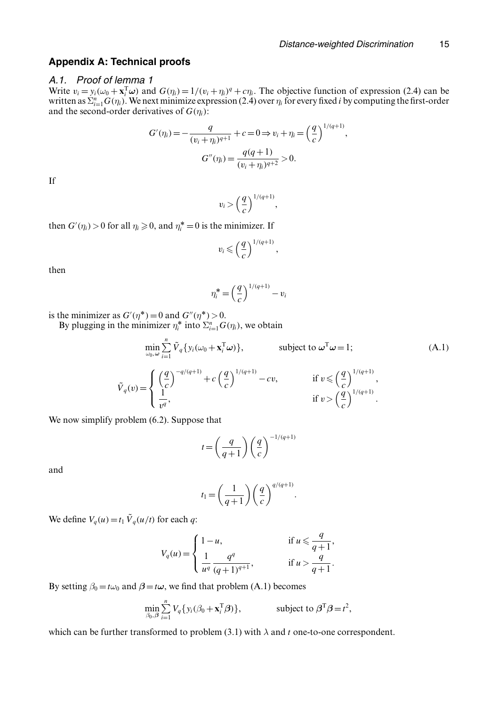## **Appendix A: Technical proofs**

## *A.1. Proof of lemma 1*

Write  $v_i = y_i(\omega_0 + \mathbf{x}_i^T \omega)$  and  $G(\eta_i) = 1/(v_i + \eta_i)^q + c\eta_i$ . The objective function of expression (2.4) can be written as  $\sum_{i=1}^n G(\eta_i)$ . We next minimize expression (2.4) over  $\eta_i$  for every fixed *i* by computing the and the second-order derivatives of  $G(\eta_i)$ :

$$
G'(\eta_i) = -\frac{q}{(v_i + \eta_i)^{q+1}} + c = 0 \Rightarrow v_i + \eta_i = \left(\frac{q}{c}\right)^{1/(q+1)},
$$
  

$$
G''(\eta_i) = \frac{q(q+1)}{(v_i + \eta_i)^{q+2}} > 0.
$$

If

$$
v_i > \left(\frac{q}{c}\right)^{1/(q+1)},
$$

then  $G'(\eta_i) > 0$  for all  $\eta_i \ge 0$ , and  $\eta_i^* = 0$  is the minimizer. If

$$
v_i \leqslant \left(\frac{q}{c}\right)^{1/(q+1)},
$$

then

$$
\eta_i^* = \left(\frac{q}{c}\right)^{1/(q+1)} - v_i
$$

is the minimizer as  $G'(\eta^*) = 0$  and  $G''(\eta^*) > 0$ .<br>By plugging in the minimizer  $n^*$  into  $\Sigma^n$ .

By plugging in the minimizer  $\eta_i^*$  into  $\Sigma_{i=1}^n G(\eta_i)$ , we obtain

$$
\min_{\omega_0, \omega} \sum_{i=1}^n \tilde{V}_q \{ y_i(\omega_0 + \mathbf{x}_i^T \omega) \}, \qquad \text{subject to } \omega^T \omega = 1; \tag{A.1}
$$
\n
$$
\tilde{V}_q(v) = \begin{cases}\n\left(\frac{q}{c}\right)^{-q/(q+1)} + c\left(\frac{q}{c}\right)^{1/(q+1)} - cv, & \text{if } v \leq \left(\frac{q}{c}\right)^{1/(q+1)},\\
\frac{1}{v^q}, & \text{if } v > \left(\frac{q}{c}\right)^{1/(q+1)}.\n\end{cases}
$$

:

We now simplify problem  $(6.2)$ . Suppose that

$$
t = \left(\frac{q}{q+1}\right) \left(\frac{q}{c}\right)^{-1/(q+1)}
$$

and

$$
t_1 = \left(\frac{1}{q+1}\right) \left(\frac{q}{c}\right)^{q/(q+1)}
$$

We define  $V_a(u) = t_1 \tilde{V}_a(u/t)$  for each q:

$$
V_q(u) = \begin{cases} 1 - u, & \text{if } u \leq \frac{q}{q+1}, \\ \frac{1}{u^q} \frac{q^q}{(q+1)^{q+1}}, & \text{if } u > \frac{q}{q+1}. \end{cases}
$$

By setting  $\beta_0 = t\omega_0$  and  $\beta = t\omega$ , we find that problem (A.1) becomes

$$
\min_{\beta_0, \beta} \sum_{i=1}^n V_q \{ y_i (\beta_0 + \mathbf{x}_i^{\mathrm{T}} \boldsymbol{\beta}) \}, \qquad \text{subject to } \boldsymbol{\beta}^{\mathrm{T}} \boldsymbol{\beta} = t^2,
$$

which can be further transformed to problem (3.1) with  $\lambda$  and t one-to-one correspondent.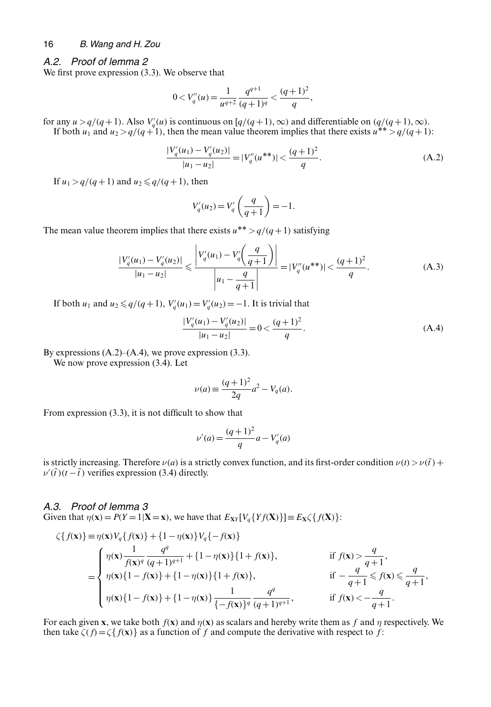#### 16 *B. Wang and H. Zou*

#### *A.2. Proof of lemma 2*

We first prove expression  $(3.3)$ . We observe that

$$
0 < V_q''(u) = \frac{1}{u^{q+2}} \frac{q^{q+1}}{(q+1)^q} < \frac{(q+1)^2}{q},
$$

for any  $u > q/(q+1)$ . Also  $V'_q(u)$  is continuous on  $[q/(q+1), \infty)$  and differentiable on  $(q/(q+1), \infty)$ . If both  $u_1$  and  $u_2 > q/(q+1)$ , then the mean value theorem implies that there exists  $u^{**} > q/(q+1)$ :

$$
\frac{|V'_q(u_1) - V'_q(u_2)|}{|u_1 - u_2|} = |V''_q(u^{**})| < \frac{(q+1)^2}{q}.\tag{A.2}
$$

If  $u_1 > q/(q+1)$  and  $u_2 \leqslant q/(q+1)$ , then

$$
V'_{q}(u_2) = V'_{q}\left(\frac{q}{q+1}\right) = -1.
$$

 $\sim$ 

The mean value theorem implies that there exists  $u^{**} > q/(q+1)$  satisfying

$$
\frac{|V'_q(u_1) - V'_q(u_2)|}{|u_1 - u_2|} \le \frac{\left|V'_q(u_1) - V'_q\left(\frac{q}{q+1}\right)\right|}{\left|u_1 - \frac{q}{q+1}\right|} = |V''_q(u^{**})| < \frac{(q+1)^2}{q}.\tag{A.3}
$$

If both  $u_1$  and  $u_2 \le q/(q+1)$ ,  $V'_q(u_1) = V'_q(u_2) = -1$ . It is trivial that

$$
\frac{|V'_q(u_1) - V'_q(u_2)|}{|u_1 - u_2|} = 0 < \frac{(q+1)^2}{q}.\tag{A.4}
$$

By expressions  $(A.2)$ – $(A.4)$ , we prove expression  $(3.3)$ .

We now prove expression (3.4). Let

$$
\nu(a) \equiv \frac{(q+1)^2}{2q}a^2 - V_q(a).
$$

From expression (3.3), it is not difficult to show that

$$
\nu'(a) = \frac{(q+1)^2}{q}a - V'_q(a)
$$

is strictly increasing. Therefore  $\nu(a)$  is a strictly convex function, and its first-order condition  $\nu(t) > \nu(\tilde{t}) +$  $\nu'(\tilde{t}) (t - \tilde{t})$  verifies expression (3.4) directly.

#### *A.3. Proof of lemma 3*

Given that  $\eta(\mathbf{x}) = P(Y=1|\mathbf{X}=\mathbf{x})$ , we have that  $E_{XY}[V_q\{Yf(\mathbf{X})\}] \equiv E_X\zeta\{f(\mathbf{X})\}$ :

$$
\zeta\{f(\mathbf{x})\} = \eta(\mathbf{x})V_q\{f(\mathbf{x})\} + \{1 - \eta(\mathbf{x})\}V_q\{-f(\mathbf{x})\}
$$
  
\n
$$
= \begin{cases}\n\eta(\mathbf{x})\frac{1}{f(\mathbf{x})^q}\frac{q^q}{(q+1)^{q+1}} + \{1 - \eta(\mathbf{x})\}\{1 + f(\mathbf{x})\}, & \text{if } f(\mathbf{x}) > \frac{q}{q+1}, \\
\eta(\mathbf{x})\{1 - f(\mathbf{x})\} + \{1 - \eta(\mathbf{x})\}\{1 + f(\mathbf{x})\}, & \text{if } -\frac{q}{q+1} \le f(\mathbf{x}) \le \frac{q}{q+1}, \\
\eta(\mathbf{x})\{1 - f(\mathbf{x})\} + \{1 - \eta(\mathbf{x})\}\frac{1}{\{-f(\mathbf{x})\}^q}\frac{q^q}{(q+1)^{q+1}}, & \text{if } f(\mathbf{x}) < -\frac{q}{q+1}.\n\end{cases}
$$

For each given **x**, we take both  $f(\mathbf{x})$  and  $\eta(\mathbf{x})$  as scalars and hereby write them as f and  $\eta$  respectively. We then take  $\zeta(f) = \zeta\{f(\mathbf{x})\}$  as a function of f and compute the derivative with respect to f: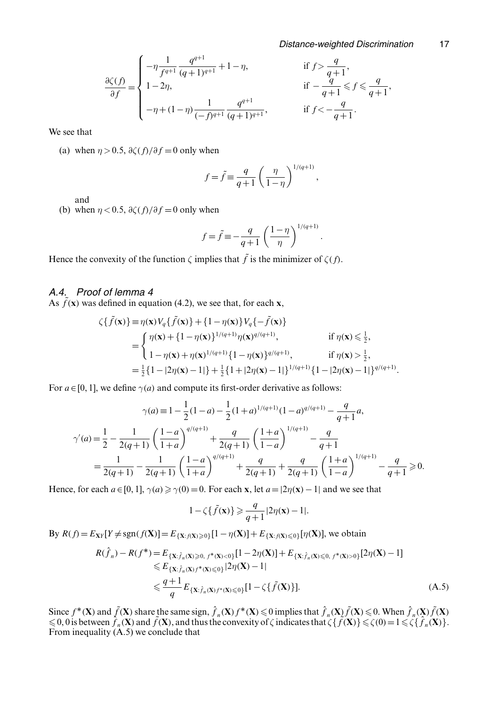:

$$
\frac{\partial \zeta(f)}{\partial f} = \begin{cases} -\eta \frac{1}{f^{q+1}} \frac{q^{q+1}}{(q+1)^{q+1}} + 1 - \eta, & \text{if } f > \frac{q}{q+1}, \\ 1 - 2\eta, & \text{if } -\frac{q}{q+1} \leq f \leq \frac{q}{q+1}, \\ -\eta + (1 - \eta) \frac{1}{(-f)^{q+1}} \frac{q^{q+1}}{(q+1)^{q+1}}, & \text{if } f < -\frac{q}{q+1}. \end{cases}
$$

We see that

(a) when  $\eta > 0.5$ ,  $\partial \zeta(f)/\partial f = 0$  only when

$$
f = \tilde{f} \equiv \frac{q}{q+1} \left( \frac{\eta}{1-\eta} \right)^{1/(q+1)},
$$

and

(b) when  $\eta < 0.5$ ,  $\partial \zeta(f)/\partial f = 0$  only when

$$
f = \tilde{f} \equiv -\frac{q}{q+1} \left(\frac{1-\eta}{\eta}\right)^{1/(q+1)}
$$

:

Hence the convexity of the function  $\zeta$  implies that  $\tilde{f}$  is the minimizer of  $\zeta(f)$ .

## *A.4. Proof of lemma 4*

As  $\tilde{f}(\mathbf{x})$  was defined in equation (4.2), we see that, for each **x**,

$$
\zeta\{\tilde{f}(\mathbf{x})\} = \eta(\mathbf{x})V_q\{\tilde{f}(\mathbf{x})\} + \{1 - \eta(\mathbf{x})\}V_q\{-\tilde{f}(\mathbf{x})\}
$$
  
\n=
$$
\begin{cases} \eta(\mathbf{x}) + \{1 - \eta(\mathbf{x})\}^{1/(q+1)}\eta(\mathbf{x})^{q/(q+1)}, & \text{if } \eta(\mathbf{x}) \le \frac{1}{2}, \\ 1 - \eta(\mathbf{x}) + \eta(\mathbf{x})^{1/(q+1)}\{1 - \eta(\mathbf{x})\}^{q/(q+1)}, & \text{if } \eta(\mathbf{x}) > \frac{1}{2}, \\ \end{cases}
$$
  
\n=
$$
\frac{1}{2}\{1 - |2\eta(\mathbf{x}) - 1|\} + \frac{1}{2}\{1 + |2\eta(\mathbf{x}) - 1|\}^{1/(q+1)}\{1 - |2\eta(\mathbf{x}) - 1|\}^{q/(q+1)}
$$

For  $a \in [0, 1]$ , we define  $\gamma(a)$  and compute its first-order derivative as follows:

$$
\gamma(a) = 1 - \frac{1}{2}(1-a) - \frac{1}{2}(1+a)^{1/(q+1)}(1-a)^{q/(q+1)} - \frac{q}{q+1}a,
$$
  

$$
\gamma'(a) = \frac{1}{2} - \frac{1}{2(q+1)}\left(\frac{1-a}{1+a}\right)^{q/(q+1)} + \frac{q}{2(q+1)}\left(\frac{1+a}{1-a}\right)^{1/(q+1)} - \frac{q}{q+1}
$$
  

$$
= \frac{1}{2(q+1)} - \frac{1}{2(q+1)}\left(\frac{1-a}{1+a}\right)^{q/(q+1)} + \frac{q}{2(q+1)} + \frac{q}{2(q+1)}\left(\frac{1+a}{1-a}\right)^{1/(q+1)} - \frac{q}{q+1} \ge 0.
$$

Hence, for each  $a \in [0, 1]$ ,  $\gamma(a) \ge \gamma(0) = 0$ . For each **x**, let  $a = |2\eta(\mathbf{x}) - 1|$  and we see that

$$
1 - \zeta\{\tilde{f}(\mathbf{x})\} \geqslant \frac{q}{q+1} |2\eta(\mathbf{x}) - 1|.
$$

By  $R(f) = E_{XY}[Y \neq \text{sgn}(f(\mathbf{X}))] = E_{\{X: f(\mathbf{X}) \geq 0\}}[1 - \eta(\mathbf{X})] + E_{\{X: f(\mathbf{X}) \leq 0\}}[\eta(\mathbf{X})]$ , we obtain

$$
R(\hat{f}_n) - R(f^*) = E_{\{X: \hat{f}_n(X) \ge 0, f^*(X) < 0\}}[1 - 2\eta(X)] + E_{\{X: \hat{f}_n(X) \le 0, f^*(X) > 0\}}[2\eta(X) - 1] \\
\le E_{\{X: \hat{f}_n(X) f^*(X) \le 0\}}[2\eta(X) - 1] \\
\le \frac{q+1}{q} E_{\{X: \hat{f}_n(X) f^*(X) \le 0\}}[1 - \zeta\{\tilde{f}(X)\}].
$$
\n(A.5)

Since  $f^*(\mathbf{X})$  and  $\tilde{f}(\mathbf{X})$  share the same sign,  $\hat{f}_n(\mathbf{X}) f^*(\mathbf{X}) \leq 0$  implies that  $\hat{f}_n(\mathbf{X}) \tilde{f}(\mathbf{X}) \leq 0$ . When  $\hat{f}_n(\mathbf{X}) \tilde{f}(\mathbf{X})$  $\leq 0$ , 0 is between  $\hat{f}_n(\mathbf{X})$  and  $\tilde{f}(\mathbf{X})$ , and thus the convexity of  $\zeta$  indicates that  $\zeta\{\tilde{f}(\mathbf{X})\}\leq \zeta(0)=1\leq \zeta\{\hat{f}_n(\mathbf{X})\}$ .<br>From inequality (A.5) we conclude that From inequality  $(A.5)$  we conclude that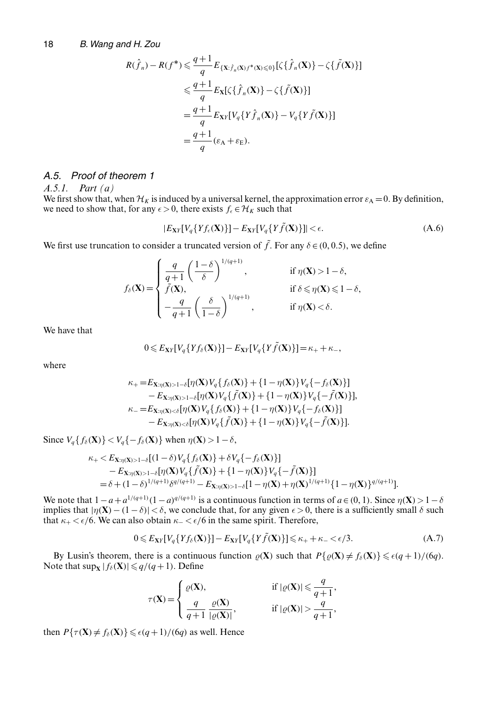$$
R(\hat{f}_n) - R(f^*) \leq \frac{q+1}{q} E_{\{\mathbf{X} : \hat{f}_n(\mathbf{X})f^*(\mathbf{X}) \leq 0\}} [\zeta \{\hat{f}_n(\mathbf{X})\} - \zeta \{\tilde{f}(\mathbf{X})\}]
$$
  

$$
\leq \frac{q+1}{q} E_{\mathbf{X}} [\zeta \{\hat{f}_n(\mathbf{X})\} - \zeta \{\tilde{f}(\mathbf{X})\}]
$$
  

$$
= \frac{q+1}{q} E_{\mathbf{X}Y} [V_q \{Y \hat{f}_n(\mathbf{X})\} - V_q \{Y \tilde{f}(\mathbf{X})\}]
$$
  

$$
= \frac{q+1}{q} (\varepsilon_A + \varepsilon_E).
$$

# *A.5. Proof of theorem 1*

## *A.5.1. Part (a)*

We first show that, when  $\mathcal{H}_K$  is induced by a universal kernel, the approximation error  $\epsilon_A = 0$ . By definition, we need to show that, for any  $\epsilon > 0$ , there exists  $f_{\epsilon} \in \mathcal{H}_K$  such that

$$
|E_{XY}[V_q\{Y_{f\epsilon}(\mathbf{X})\}] - E_{XY}[V_q\{\hat{Y}(\mathbf{X})\}]| < \epsilon.
$$
 (A.6)

We first use truncation to consider a truncated version of  $\tilde{f}$ . For any  $\delta \in (0, 0.5)$ , we define

$$
f_{\delta}(\mathbf{X}) = \begin{cases} \frac{q}{q+1} \left( \frac{1-\delta}{\delta} \right)^{1/(q+1)}, & \text{if } \eta(\mathbf{X}) > 1-\delta, \\ \tilde{f}(\mathbf{X}), & \text{if } \delta \leq \eta(\mathbf{X}) \leq 1-\delta, \\ -\frac{q}{q+1} \left( \frac{\delta}{1-\delta} \right)^{1/(q+1)}, & \text{if } \eta(\mathbf{X}) < \delta. \end{cases}
$$

We have that

$$
0 \leqslant E_{\mathbf{X}Y}[V_q\{Yf_\delta(\mathbf{X})\}] - E_{\mathbf{X}Y}[V_q\{Y\tilde{f}(\mathbf{X})\}] = \kappa_+ + \kappa_-,
$$

where

$$
\kappa_{+} = E_{\mathbf{X}:\eta(\mathbf{X})>1-\delta}[\eta(\mathbf{X})V_{q}\{f_{\delta}(\mathbf{X})\} + \{1-\eta(\mathbf{X})\}V_{q}\{-f_{\delta}(\mathbf{X})\}] \n- E_{\mathbf{X}:\eta(\mathbf{X})>1-\delta}[\eta(\mathbf{X})V_{q}\{\tilde{f}(\mathbf{X})\} + \{1-\eta(\mathbf{X})\}V_{q}\{-\tilde{f}(\mathbf{X})\}], \n\kappa_{-} = E_{\mathbf{X}:\eta(\mathbf{X})<\delta}[\eta(\mathbf{X})V_{q}\{f_{\delta}(\mathbf{X})\} + \{1-\eta(\mathbf{X})\}V_{q}\{-f_{\delta}(\mathbf{X})\}] \n- E_{\mathbf{X}:\eta(\mathbf{X})<\delta}[\eta(\mathbf{X})V_{q}\{\tilde{f}(\mathbf{X})\} + \{1-\eta(\mathbf{X})\}V_{q}\{-\tilde{f}(\mathbf{X})\}].
$$

Since  $V_q\{f_\delta(\mathbf{X})\} < V_q\{-f_\delta(\mathbf{X})\}$  when  $\eta(\mathbf{X}) > 1 - \delta$ ,

$$
\kappa_{+} < E_{\mathbf{X}:\eta(\mathbf{X})>1-\delta}[(1-\delta)V_q\{f_{\delta}(\mathbf{X})\} + \delta V_q\{-f_{\delta}(\mathbf{X})\}] \\
- E_{\mathbf{X}:\eta(\mathbf{X})>1-\delta}[\eta(\mathbf{X})V_q\{\tilde{f}(\mathbf{X})\} + \{1-\eta(\mathbf{X})\}V_q\{-\tilde{f}(\mathbf{X})\}] \\
= \delta + (1-\delta)^{1/(q+1)}\delta^{q/(q+1)} - E_{\mathbf{X}:\eta(\mathbf{X})>1-\delta}[1-\eta(\mathbf{X}) + \eta(\mathbf{X})^{1/(q+1)}\{1-\eta(\mathbf{X})\}^{q/(q+1)}].
$$

We note that  $1 - a + a^{1/(q+1)}(1 - a)^{q/(q+1)}$  is a continuous function in terms of  $a \in (0, 1)$ . Since  $\eta(\mathbf{X}) > 1 - \delta$  implies that  $\ln(\mathbf{X}) - (1 - \delta) < \delta$  we conclude that for any given  $\epsilon > 0$  there is a sufficiently small  $\delta$  implies that  $|\eta(\mathbf{X}) - (1 - \delta)| < \delta$ , we conclude that, for any given  $\epsilon > 0$ , there is a sufficiently small  $\delta$  such that  $\kappa_+ < \epsilon/6$ . We can also obtain  $\kappa_- < \epsilon/6$  in the same spirit. Therefore,

$$
0 \leqslant E_{XY}[V_q\{Yf_\delta(\mathbf{X})\}] - E_{XY}[V_q\{Y\tilde{f}(\mathbf{X})\}] \leqslant \kappa_+ + \kappa_- < \epsilon/3. \tag{A.7}
$$

By Lusin's theorem, there is a continuous function  $\varrho(\mathbf{X})$  such that  $P\{\varrho(\mathbf{X}) \neq f_\delta(\mathbf{X})\} \leq \epsilon(q+1)/(6q)$ . Note that  $\sup_{\mathbf{x}} |f_{\delta}(\mathbf{X})| \leqslant q/(q+1)$ . Define

$$
\tau(\mathbf{X}) = \begin{cases} \varrho(\mathbf{X}), & \text{if } |\varrho(\mathbf{X})| \leq \frac{q}{q+1}, \\ \frac{q}{q+1} \frac{\varrho(\mathbf{X})}{|\varrho(\mathbf{X})|}, & \text{if } |\varrho(\mathbf{X})| > \frac{q}{q+1}, \end{cases}
$$

then  $P\{\tau(\mathbf{X}) \neq f_\delta(\mathbf{X})\} \leq \epsilon (q+1)/(6q)$  as well. Hence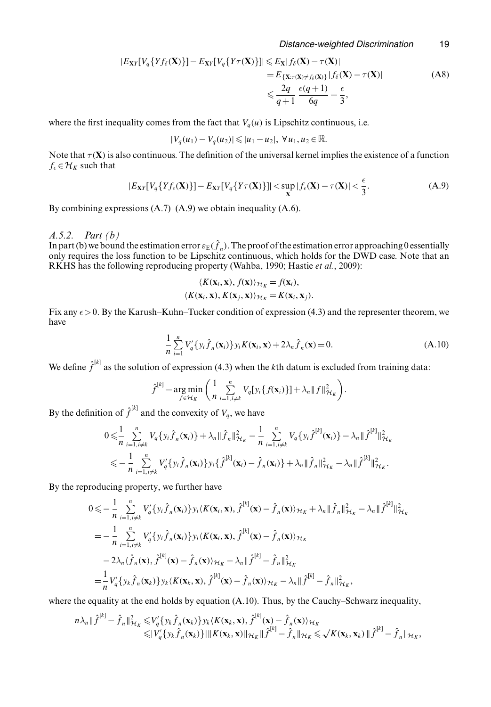$$
|E_{XY}[V_q\{Yf_\delta(\mathbf{X})\}] - E_{XY}[V_q\{Y\tau(\mathbf{X})\}]| \le E_X|f_\delta(\mathbf{X}) - \tau(\mathbf{X})|
$$
  
\n
$$
= E_{\{X:\tau(\mathbf{X})\neq f_\delta(\mathbf{X})\}}|f_\delta(\mathbf{X}) - \tau(\mathbf{X})|
$$
  
\n
$$
\le \frac{2q}{q+1} \frac{\epsilon(q+1)}{6q} = \frac{\epsilon}{3},
$$
\n(A8)

where the first inequality comes from the fact that  $V_a(u)$  is Lipschitz continuous, i.e.

$$
|V_q(u_1) - V_q(u_2)| \leq |u_1 - u_2|, \ \forall u_1, u_2 \in \mathbb{R}.
$$

Note that  $\tau(X)$  is also continuous. The definition of the universal kernel implies the existence of a function  $f_{\epsilon} \in \mathcal{H}_K$  such that

$$
|E_{XY}[V_q\{Y_{f\epsilon}(\mathbf{X})\}] - E_{XY}[V_q\{Y_{\tau}(\mathbf{X})\}]| < \sup_{\mathbf{X}} |f_{\epsilon}(\mathbf{X}) - \tau(\mathbf{X})| < \frac{\epsilon}{3}.
$$
 (A.9)

By combining expressions  $(A.7)$ – $(A.9)$  we obtain inequality  $(A.6)$ .

#### *A.5.2. Part (b)*

In part (b) we bound the estimation error  $\varepsilon_E(\hat{f}_n)$ . The proof of the estimation error approaching 0 essentially only requires the loss function to be Lipschitz continuous, which holds for the DWD case. Note that an RKHS has the following reproducing property (Wahba, 1990; Hastie *et al.*, 2009):

$$
\langle K(\mathbf{x}_i, \mathbf{x}), f(\mathbf{x}) \rangle_{\mathcal{H}_K} = f(\mathbf{x}_i),
$$
  

$$
\langle K(\mathbf{x}_i, \mathbf{x}), K(\mathbf{x}_j, \mathbf{x}) \rangle_{\mathcal{H}_K} = K(\mathbf{x}_i, \mathbf{x}_j).
$$

Fix any  $\epsilon > 0$ . By the Karush–Kuhn–Tucker condition of expression (4.3) and the representer theorem, we have

$$
\frac{1}{n}\sum_{i=1}^{n}V'_{q}\{y_{i}\hat{f}_{n}(\mathbf{x}_{i})\}y_{i}K(\mathbf{x}_{i},\mathbf{x})+2\lambda_{n}\hat{f}_{n}(\mathbf{x})=0.
$$
\n(A.10)

We define  $\hat{f}^{[k]}$  as the solution of expression (4.3) when the kth datum is excluded from training data:

$$
\hat{f}^{[k]} = \underset{f \in \mathcal{H}_K}{\arg \min} \left( \frac{1}{n} \sum_{i=1, i \neq k}^n V_q[y_i \{ f(\mathbf{x}_i) \}] + \lambda_n \| f \|_{\mathcal{H}_K}^2 \right).
$$

By the definition of  $\hat{f}^{[k]}$  and the convexity of  $V_q$ , we have

$$
0 \leq \frac{1}{n} \sum_{i=1, i \neq k}^{n} V_q \{ y_i \hat{f}_n(\mathbf{x}_i) \} + \lambda_n \| \hat{f}_n \|_{\mathcal{H}_K}^2 - \frac{1}{n} \sum_{i=1, i \neq k}^{n} V_q \{ y_i \hat{f}^{[k]}(\mathbf{x}_i) \} - \lambda_n \| \hat{f}^{[k]} \|_{\mathcal{H}_K}^2
$$
  

$$
\leqslant -\frac{1}{n} \sum_{i=1, i \neq k}^{n} V_q' \{ y_i \hat{f}_n(\mathbf{x}_i) \} y_i \{ \hat{f}^{[k]}(\mathbf{x}_i) - \hat{f}_n(\mathbf{x}_i) \} + \lambda_n \| \hat{f}_n \|_{\mathcal{H}_K}^2 - \lambda_n \| \hat{f}^{[k]} \|_{\mathcal{H}_K}^2.
$$

By the reproducing property, we further have

$$
0 \leqslant -\frac{1}{n} \sum_{i=1, i \neq k}^{n} V'_{q} \{ y_{i} \hat{f}_{n}(\mathbf{x}_{i}) \} y_{i} \langle K(\mathbf{x}_{i}, \mathbf{x}), \hat{f}^{[k]}(\mathbf{x}) - \hat{f}_{n}(\mathbf{x}) \rangle_{\mathcal{H}_{K}} + \lambda_{n} \|\hat{f}_{n}\|_{\mathcal{H}_{K}}^{2} - \lambda_{n} \|\hat{f}^{[k]}\|_{\mathcal{H}_{K}}^{2}
$$
\n
$$
= -\frac{1}{n} \sum_{i=1, i \neq k}^{n} V'_{q} \{ y_{i} \hat{f}_{n}(\mathbf{x}_{i}) \} y_{i} \langle K(\mathbf{x}_{i}, \mathbf{x}), \hat{f}^{[k]}(\mathbf{x}) - \hat{f}_{n}(\mathbf{x}) \rangle_{\mathcal{H}_{K}}
$$
\n
$$
-2\lambda_{n} \langle \hat{f}_{n}(\mathbf{x}), \hat{f}^{[k]}(\mathbf{x}) - \hat{f}_{n}(\mathbf{x}) \rangle_{\mathcal{H}_{K}} - \lambda_{n} \|\hat{f}^{[k]} - \hat{f}_{n}\|_{\mathcal{H}_{K}}^{2}
$$
\n
$$
= \frac{1}{n} V'_{q} \{ y_{k} \hat{f}_{n}(\mathbf{x}_{k}) \} y_{k} \langle K(\mathbf{x}_{k}, \mathbf{x}), \hat{f}^{[k]}(\mathbf{x}) - \hat{f}_{n}(\mathbf{x}) \rangle_{\mathcal{H}_{K}} - \lambda_{n} \|\hat{f}^{[k]} - \hat{f}_{n}\|_{\mathcal{H}_{K}}^{2},
$$

where the equality at the end holds by equation (A.10). Thus, by the Cauchy–Schwarz inequality,

$$
n\lambda_n \|\hat{f}^{[k]} - \hat{f}_n\|_{\mathcal{H}_K}^2 \leq V_q^{\prime}\{y_k \hat{f}_n(\mathbf{x}_k)\} y_k \langle K(\mathbf{x}_k, \mathbf{x}), \hat{f}^{[k]}(\mathbf{x}) - \hat{f}_n(\mathbf{x}) \rangle_{\mathcal{H}_K} \leq |V_q^{\prime}\{y_k \hat{f}_n(\mathbf{x}_k)\}||K(\mathbf{x}_k, \mathbf{x})||_{\mathcal{H}_K} \|\hat{f}^{[k]} - \hat{f}_n\|_{\mathcal{H}_K} \leq \sqrt{K(\mathbf{x}_k, \mathbf{x}_k)} \|\hat{f}^{[k]} - \hat{f}_n\|_{\mathcal{H}_K},
$$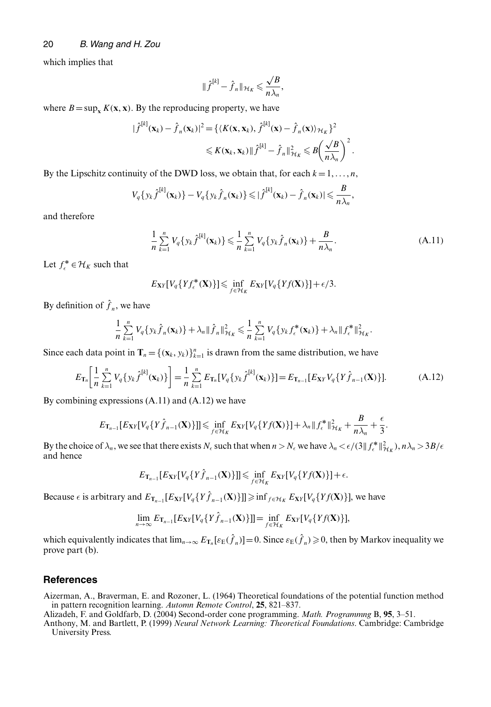#### 20 *B. Wang and H. Zou*

which implies that

$$
\|\hat{f}^{[k]} - \hat{f}_n\|_{\mathcal{H}_K} \leq \frac{\sqrt{B}}{n\lambda_n},
$$

where  $B = \sup_{\mathbf{x}} K(\mathbf{x}, \mathbf{x})$ . By the reproducing property, we have

$$
|\hat{f}^{[k]}(\mathbf{x}_k) - \hat{f}_n(\mathbf{x}_k)|^2 = \{ \langle K(\mathbf{x}, \mathbf{x}_k), \hat{f}^{[k]}(\mathbf{x}) - \hat{f}_n(\mathbf{x}) \rangle \mathcal{H}_k \}^2
$$
  

$$
\leq K(\mathbf{x}_k, \mathbf{x}_k) \|\hat{f}^{[k]} - \hat{f}_n\|_{\mathcal{H}_k}^2 \leq B \left(\frac{\sqrt{B}}{n\lambda_n}\right)^2.
$$

By the Lipschitz continuity of the DWD loss, we obtain that, for each  $k = 1, \ldots, n$ ,

$$
V_q\{y_k\hat{f}^{[k]}(\mathbf{x}_k)\} - V_q\{y_k\hat{f}_n(\mathbf{x}_k)\} \leqslant |\hat{f}^{[k]}(\mathbf{x}_k) - \hat{f}_n(\mathbf{x}_k)| \leqslant \frac{B}{n\lambda_n},
$$

and therefore

$$
\frac{1}{n}\sum_{k=1}^{n}V_{q}\{y_{k}\hat{f}^{[k]}(\mathbf{x}_{k})\} \leq \frac{1}{n}\sum_{k=1}^{n}V_{q}\{y_{k}\hat{f}_{n}(\mathbf{x}_{k})\} + \frac{B}{n\lambda_{n}}.
$$
\n(A.11)

Let  $f_{\epsilon}^* \in \mathcal{H}_K$  such that

$$
E_{\mathbf{X}Y}[V_q\{Yf_\epsilon^*(\mathbf{X})\}] \le \inf_{f \in \mathcal{H}_K} E_{\mathbf{X}Y}[V_q\{Yf(\mathbf{X})\}] + \epsilon/3.
$$

By definition of  $\hat{f}_n$ , we have

$$
\frac{1}{n}\sum_{k=1}^n V_q\{y_k\hat{f}_n(\mathbf{x}_k)\}+\lambda_n\|\hat{f}_n\|_{\mathcal{H}_K}^2\leqslant \frac{1}{n}\sum_{k=1}^n V_q\{y_kf_\epsilon^*(\mathbf{x}_k)\}+\lambda_n\|f_\epsilon^*\|_{\mathcal{H}_K}^2.
$$

Since each data point in  $\mathbf{T}_n = \{(\mathbf{x}_k, y_k)\}_{k=1}^n$  is drawn from the same distribution, we have

$$
E_{\mathbf{T}_n} \left[ \frac{1}{n} \sum_{k=1}^n V_q \{ y_k \hat{f}^{[k]}(\mathbf{x}_k) \} \right] = \frac{1}{n} \sum_{k=1}^n E_{\mathbf{T}_n} [V_q \{ y_k \hat{f}^{[k]}(\mathbf{x}_k) \}] = E_{\mathbf{T}_{n-1}} [E_{\mathbf{X}Y} V_q \{ Y \hat{f}_{n-1}(\mathbf{X}) \}]. \tag{A.12}
$$

By combining expressions (A.11) and (A.12) we have

$$
E_{\mathbf{T}_{n-1}}[E_{\mathbf{X}Y}[V_q\{Y\hat{f}_{n-1}(\mathbf{X})\}]] \le \inf_{f \in \mathcal{H}_K} E_{\mathbf{X}Y}[V_q\{Yf(\mathbf{X})\}]+\lambda_n \|f_{\epsilon}^*\|^2_{\mathcal{H}_K}+\frac{B}{n\lambda_n}+\frac{\epsilon}{3}.
$$

By the choice of  $\lambda_n$ , we see that there exists  $N_\epsilon$  such that when  $n > N_\epsilon$  we have  $\lambda_n < \epsilon/(3||f_\epsilon^*)$ <br>and hence  $\int_{\epsilon}^{*} \|f\|_{\mathcal{H}_K}^2$ ,  $n\lambda_n$  > 3B/ $\epsilon$ and hence

$$
E_{\mathbf{T}_{n-1}}[E_{\mathbf{X}Y}[V_q\{Y\hat{f}_{n-1}(\mathbf{X})\}]] \leq \inf_{f \in \mathcal{H}_K} E_{\mathbf{X}Y}[V_q\{Yf(\mathbf{X})\}]+\epsilon.
$$

Because  $\epsilon$  is arbitrary and  $E_{\mathbf{T}_{n-1}}[E_{\mathbf{X}Y}[V_q\{Y\hat{f}_{n-1}(\mathbf{X})\}]] \ge \inf_{f \in \mathcal{H}_K} E_{\mathbf{X}Y}[V_q\{Yf(\mathbf{X})\}]$ , we have

$$
\lim_{n\to\infty} E_{\mathbf{T}_{n-1}}[E_{\mathbf{X}Y}[V_q\{Y\hat{f}_{n-1}(\mathbf{X})\}]] = \inf_{f\in\mathcal{H}_K} E_{\mathbf{X}Y}[V_q\{Yf(\mathbf{X})\}],
$$

which equivalently indicates that  $\lim_{n\to\infty} E_{\mathbf{T}_n}[\varepsilon_{\mathbf{E}}(\hat{f}_n)] = 0$ . Since  $\varepsilon_{\mathbf{E}}(\hat{f}_n) \ge 0$ , then by Markov inequality we prove part (b).

#### **References**

- Aizerman, A., Braverman, E. and Rozoner, L. (1964) Theoretical foundations of the potential function method in pattern recognition learning. *Automn Remote Control*, **25**, 821–837.
- Alizadeh, F. and Goldfarb, D. (2004) Second-order cone programming. *Math. Programmng* B, **95**, 3–51.
- Anthony, M. and Bartlett, P. (1999) *Neural Network Learning: Theoretical Foundations*. Cambridge: Cambridge University Press.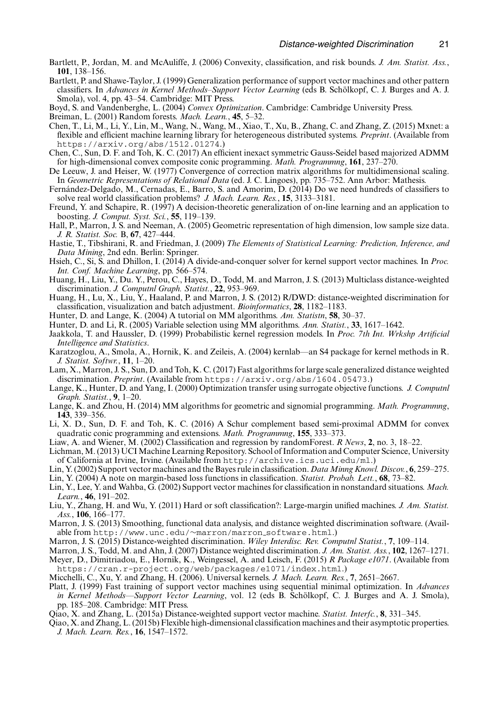- Bartlett, P., Jordan, M. and McAuliffe, J. (2006) Convexity, classification, and risk bounds. *J. Am. Statist. Ass.*, **101**, 138–156.
- Bartlett, P. and Shawe-Taylor, J. (1999) Generalization performance of support vector machines and other pattern classifiers. In *Advances in Kernel Methods–Support Vector Learning* (eds B. Schölkopf, C. J. Burges and A. J. Smola), vol. 4, pp. 43–54. Cambridge: MIT Press.
- Boyd, S. and Vandenberghe, L. (2004) *Convex Optimization*. Cambridge: Cambridge University Press.

- Chen, T., Li, M., Li, Y., Lin, M., Wang, N., Wang, M., Xiao, T., Xu, B., Zhang, C. and Zhang, Z. (2015) Mxnet: a flexible and efficient machine learning library for heterogeneous distributed systems. *Preprint*. (Available from https://arxiv.org/abs/1512.01274.)
- Chen, C., Sun, D. F. and Toh, K. C. (2017) An efficient inexact symmetric Gauss-Seidel based majorized ADMM for high-dimensional convex composite conic programming. *Math. Programmng*, **161**, 237–270.
- De Leeuw, J. and Heiser, W. (1977) Convergence of correction matrix algorithms for multidimensional scaling. In *Geometric Representations of Relational Data* (ed. J. C. Lingoes), pp. 735–752. Ann Arbor: Mathesis.
- Fernandez-Delgado, M., Cernadas, E., Barro, S. and Amorim, D. (2014) Do we need hundreds of classifiers to ´ solve real world classification problems? *J. Mach. Learn. Res.*, **15**, 3133–3181.
- Freund, Y. and Schapire, R. (1997) A decision-theoretic generalization of on-line learning and an application to boosting. *J. Comput. Syst. Sci.*, **55**, 119–139.
- Hall, P., Marron, J. S. and Neeman, A. (2005) Geometric representation of high dimension, low sample size data. *J. R. Statist. Soc.* B, **67**, 427–444.
- Hastie, T., Tibshirani, R. and Friedman, J. (2009) *The Elements of Statistical Learning: Prediction, Inference, and Data Mining*, 2nd edn. Berlin: Springer.
- Hsieh, C., Si, S. and Dhillon, I. (2014) A divide-and-conquer solver for kernel support vector machines. In *Proc. Int. Conf. Machine Learning*, pp. 566–574.
- Huang, H., Liu, Y., Du. Y., Perou, C., Hayes, D., Todd, M. and Marron, J. S. (2013) Multiclass distance-weighted discrimination. *J. Computnl Graph. Statist.*, **22**, 953–969.
- Huang, H., Lu, X., Liu, Y., Haaland, P. and Marron, J. S. (2012) R/DWD: distance-weighted discrimination for classification, visualization and batch adjustment. *Bioinformatics*, **28**, 1182–1183.
- Hunter, D. and Lange, K. (2004) A tutorial on MM algorithms. *Am. Statistn*, **58**, 30–37.
- Hunter, D. and Li, R. (2005) Variable selection using MM algorithms. *Ann. Statist.*, **33**, 1617–1642.
- Jaakkola, T. and Haussler, D. (1999) Probabilistic kernel regression models. In *Proc. 7th Int. Wrkshp Artificial Intelligence and Statistics*.
- Karatzoglou, A., Smola, A., Hornik, K. and Zeileis, A. (2004) kernlab—an S4 package for kernel methods in R. *J. Statist. Softwr.*, **11**, 1–20.
- Lam, X., Marron, J. S., Sun, D. and Toh, K. C. (2017) Fast algorithms for large scale generalized distance weighted discrimination. *Preprint*. (Available from https://arxiv.org/abs/1604.05473.)
- Lange, K., Hunter, D. and Yang, I. (2000) Optimization transfer using surrogate objective functions. *J. Computnl Graph. Statist.*, **9**, 1–20.
- Lange, K. and Zhou, H. (2014) MM algorithms for geometric and signomial programming. *Math. Programmng*, **143**, 339–356.
- Li, X. D., Sun, D. F. and Toh, K. C. (2016) A Schur complement based semi-proximal ADMM for convex quadratic conic programming and extensions. *Math. Programmng*, **155**, 333–373.

Liaw, A. and Wiener, M. (2002) Classification and regression by randomForest. *R News*, **2**, no. 3, 18–22.

- Lichman, M. (2013) UCI Machine Learning Repository. School of Information and Computer Science, University of California at Irvine, Irvine. (Available from http://archive.ics.uci.edu/ml.)
- Lin, Y. (2002) Support vector machines and the Bayes rule in classification. *DataMinng Knowl. Discov.*, **6**, 259–275. Lin, Y. (2004) A note on margin-based loss functions in classification. *Statist. Probab. Lett.*, **68**, 73–82.
- Lin, Y., Lee, Y. and Wahba, G. (2002) Support vector machines for classification in nonstandard situations. *Mach. Learn.*, **46**, 191–202.
- Liu, Y., Zhang, H. and Wu, Y. (2011) Hard or soft classification?: Large-margin unified machines. *J. Am. Statist. Ass.*, **106**, 166–177.
- Marron, J. S. (2013) Smoothing, functional data analysis, and distance weighted discrimination software. (Available from http://www.unc.edu/∼marron/marron software.html.)
- Marron, J. S. (2015) Distance-weighted discrimination. *Wiley Interdisc. Rev. Computnl Statist.*, **7**, 109–114.
- Marron, J. S., Todd, M. and Ahn, J. (2007) Distance weighted discrimination. *J. Am. Statist. Ass.*, **102**, 1267–1271.
- Meyer, D., Dimitriadou, E., Hornik, K., Weingessel, A. and Leisch, F. (2015) *R Package e1071*. (Available from https://cran.r-project.org/web/packages/e1071/index.html.)
- Micchelli, C., Xu, Y. and Zhang, H. (2006). Universal kernels. *J. Mach. Learn. Res.*, **7**, 2651–2667.
- Platt, J. (1999) Fast training of support vector machines using sequential minimal optimization. In *Advances in Kernel Methods—Support Vector Learning*, vol. 12 (eds B. Schölkopf, C. J. Burges and A. J. Smola), pp. 185–208. Cambridge: MIT Press.
- Qiao, X. and Zhang, L. (2015a) Distance-weighted support vector machine. *Statist. Interfc.*, **8**, 331–345.
- Qiao, X. and Zhang, L. (2015b) Flexible high-dimensional classification machines and their asymptotic properties. *J. Mach. Learn. Res.*, **16**, 1547–1572.

Breiman, L. (2001) Random forests. *Mach. Learn.*, **45**, 5–32.